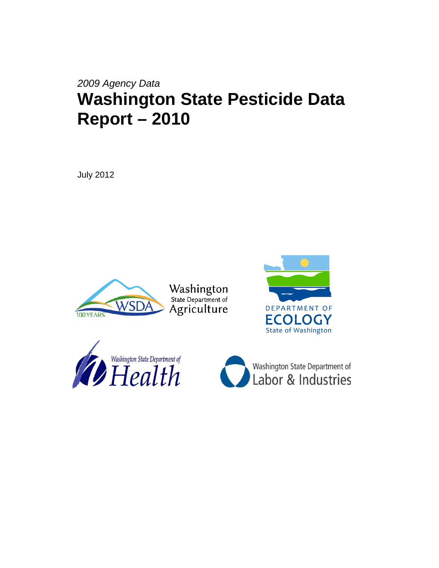# *2009 Agency Data* **Washington State Pesticide Data Report – 2010**

July 2012



Washington<br>State Department of Agriculture





Washington State Department of Labor & Industries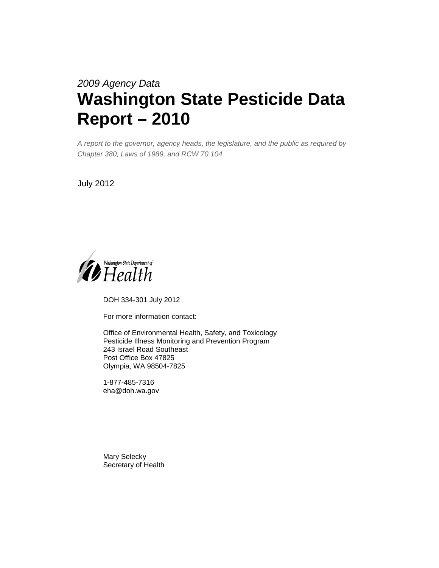# *2009 Agency Data* **Washington State Pesticide Data Report – 2010**

*A report to the governor, agency heads, the legislature, and the public as required by Chapter 380, Laws of 1989, and RCW 70.104.*

July 2012



DOH 334-301 July 2012

For more information contact:

Office of Environmental Health, Safety, and Toxicology Pesticide Illness Monitoring and Prevention Program 243 Israel Road Southeast Post Office Box 47825 Olympia, WA 98504-7825

1-877-485-7316 eha@doh.wa.gov

Mary Selecky Secretary of Health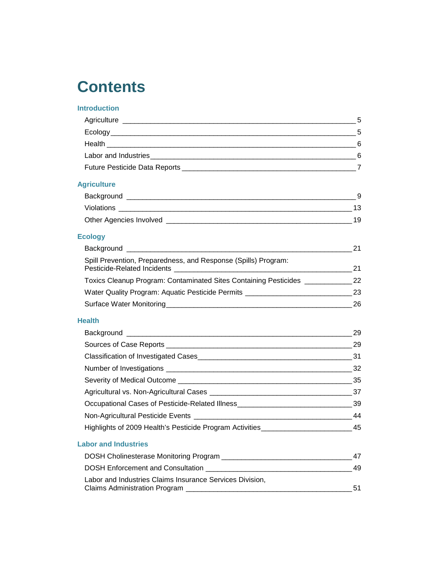# **Contents**

# **[Introduction](#page-5-0)**

|                                                                                     | $\overline{7}$ |
|-------------------------------------------------------------------------------------|----------------|
| <b>Agriculture</b>                                                                  |                |
|                                                                                     |                |
|                                                                                     |                |
|                                                                                     |                |
| <b>Ecology</b>                                                                      |                |
|                                                                                     | 21             |
| Spill Prevention, Preparedness, and Response (Spills) Program:                      |                |
| Toxics Cleanup Program: Contaminated Sites Containing Pesticides ______________22   |                |
| Water Quality Program: Aquatic Pesticide Permits ________________________________23 |                |
|                                                                                     | 26             |
| <b>Health</b>                                                                       |                |
|                                                                                     |                |
|                                                                                     |                |
|                                                                                     |                |
|                                                                                     |                |
|                                                                                     |                |
|                                                                                     |                |
|                                                                                     |                |
|                                                                                     |                |
| Highlights of 2009 Health's Pesticide Program Activities_________________________45 |                |
| <b>Labor and Industries</b>                                                         |                |
|                                                                                     | 47             |
|                                                                                     | 49             |
| Labor and Industries Claims Insurance Services Division,                            | 51             |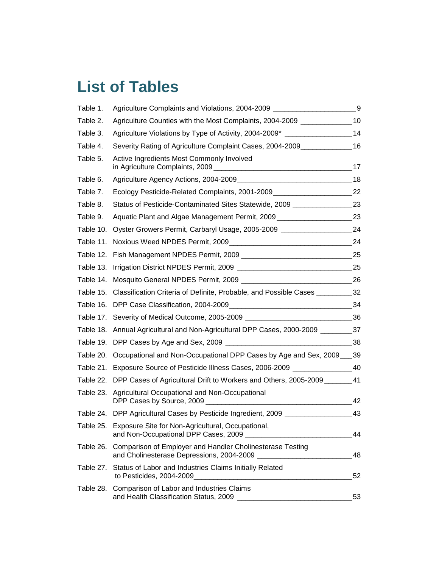# **List of Tables**

| Table 1.  | Agriculture Complaints and Violations, 2004-2009 ___________________                                     | 9  |
|-----------|----------------------------------------------------------------------------------------------------------|----|
| Table 2.  | Agriculture Counties with the Most Complaints, 2004-2009 _______________                                 | 10 |
| Table 3.  | Agriculture Violations by Type of Activity, 2004-2009* _________________________                         | 14 |
| Table 4.  | Severity Rating of Agriculture Complaint Cases, 2004-2009                                                | 16 |
| Table 5.  | Active Ingredients Most Commonly Involved                                                                | 17 |
| Table 6.  |                                                                                                          | 18 |
| Table 7.  | Ecology Pesticide-Related Complaints, 2001-2009_________________________________                         | 22 |
| Table 8.  | Status of Pesticide-Contaminated Sites Statewide, 2009 _________________________                         | 23 |
| Table 9.  | Aquatic Plant and Algae Management Permit, 2009                                                          | 23 |
| Table 10. | Oyster Growers Permit, Carbaryl Usage, 2005-2009 ________________                                        | 24 |
| Table 11. |                                                                                                          | 24 |
| Table 12. |                                                                                                          | 25 |
| Table 13. |                                                                                                          | 25 |
| Table 14. |                                                                                                          | 26 |
| Table 15. | Classification Criteria of Definite, Probable, and Possible Cases __________32                           |    |
| Table 16. |                                                                                                          | 34 |
| Table 17. |                                                                                                          |    |
| Table 18. | Annual Agricultural and Non-Agricultural DPP Cases, 2000-2009 __________37                               |    |
| Table 19. |                                                                                                          | 38 |
| Table 20. | Occupational and Non-Occupational DPP Cases by Age and Sex, 2009___                                      | 39 |
| Table 21. | Exposure Source of Pesticide Illness Cases, 2006-2009 __________________________                         | 40 |
|           | Table 22. DPP Cases of Agricultural Drift to Workers and Others, 2005-2009                               | 41 |
|           | Table 23. Agricultural Occupational and Non-Occupational<br>DPP Cases by Source, 2009                    | 42 |
|           | Table 24. DPP Agricultural Cases by Pesticide Ingredient, 2009 _____________                             | 43 |
|           | Table 25. Exposure Site for Non-Agricultural, Occupational,<br>and Non-Occupational DPP Cases, 2009 _    | 44 |
| Table 26. | Comparison of Employer and Handler Cholinesterase Testing<br>and Cholinesterase Depressions, 2004-2009 _ | 48 |
| Table 27. | Status of Labor and Industries Claims Initially Related<br>to Pesticides, 2004-2009_                     | 52 |
| Table 28. | Comparison of Labor and Industries Claims<br>and Health Classification Status, 2009                      | 53 |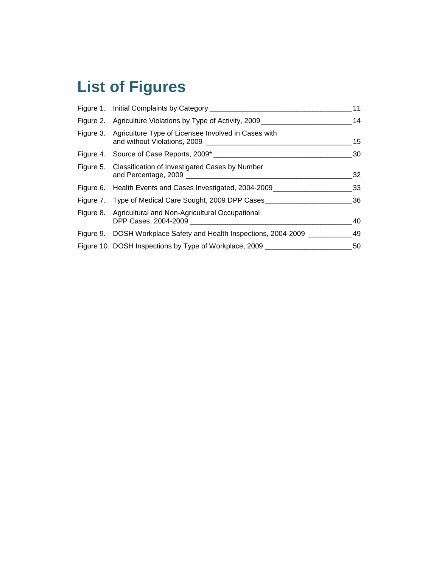# **List of Figures**

| Figure 1. Initial Complaints by Category _____________________                   | 11 |
|----------------------------------------------------------------------------------|----|
| Figure 2. Agriculture Violations by Type of Activity, 2009 _____________________ | 14 |
| Figure 3. Agriculture Type of Licensee Involved in Cases with                    | 15 |
|                                                                                  | 30 |
| Figure 5. Classification of Investigated Cases by Number                         | 32 |
| Figure 6. Health Events and Cases Investigated, 2004-2009                        | 33 |
| Figure 7. Type of Medical Care Sought, 2009 DPP Cases                            | 36 |
| Figure 8. Agricultural and Non-Agricultural Occupational                         | 40 |
| Figure 9. DOSH Workplace Safety and Health Inspections, 2004-2009                | 49 |
| Figure 10. DOSH Inspections by Type of Workplace, 2009 _________________________ | 50 |
|                                                                                  |    |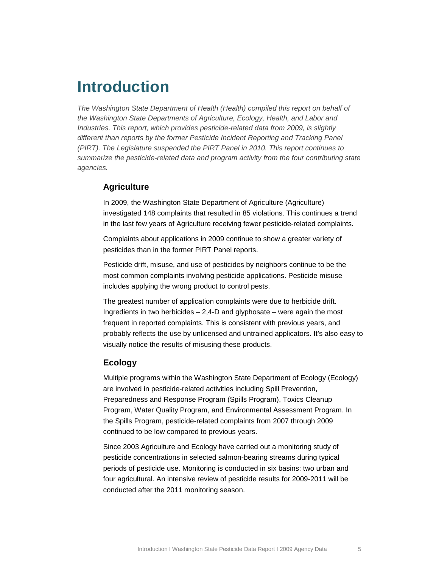# <span id="page-5-0"></span>**Introduction**

*The Washington State Department of Health (Health) compiled this report on behalf of the Washington State Departments of Agriculture, Ecology, Health, and Labor and Industries. This report, which provides pesticide-related data from 2009, is slightly different than reports by the former Pesticide Incident Reporting and Tracking Panel (PIRT). The Legislature suspended the PIRT Panel in 2010. This report continues to summarize the pesticide-related data and program activity from the four contributing state agencies.* 

## <span id="page-5-1"></span>**Agriculture**

In 2009, the Washington State Department of Agriculture (Agriculture) investigated 148 complaints that resulted in 85 violations. This continues a trend in the last few years of Agriculture receiving fewer pesticide-related complaints.

Complaints about applications in 2009 continue to show a greater variety of pesticides than in the former PIRT Panel reports.

Pesticide drift, misuse, and use of pesticides by neighbors continue to be the most common complaints involving pesticide applications. Pesticide misuse includes applying the wrong product to control pests.

The greatest number of application complaints were due to herbicide drift. Ingredients in two herbicides – 2,4-D and glyphosate – were again the most frequent in reported complaints. This is consistent with previous years, and probably reflects the use by unlicensed and untrained applicators. It's also easy to visually notice the results of misusing these products.

## <span id="page-5-2"></span>**Ecology**

Multiple programs within the Washington State Department of Ecology (Ecology) are involved in pesticide-related activities including Spill Prevention, Preparedness and Response Program (Spills Program), Toxics Cleanup Program, Water Quality Program, and Environmental Assessment Program. In the Spills Program, pesticide-related complaints from 2007 through 2009 continued to be low compared to previous years.

Since 2003 Agriculture and Ecology have carried out a monitoring study of pesticide concentrations in selected salmon-bearing streams during typical periods of pesticide use. Monitoring is conducted in six basins: two urban and four agricultural. An intensive review of pesticide results for 2009-2011 will be conducted after the 2011 monitoring season.

<span id="page-5-3"></span>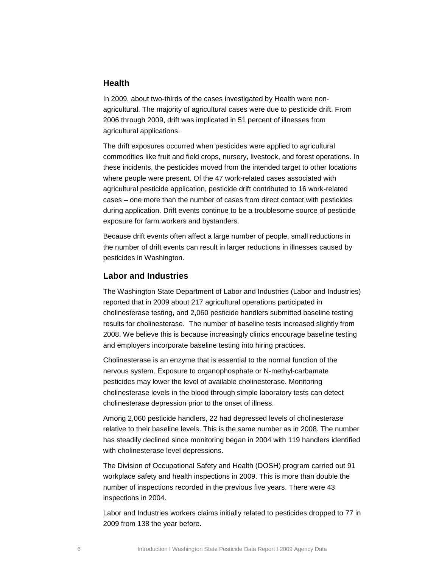## **Health**

In 2009, about two-thirds of the cases investigated by Health were nonagricultural. The majority of agricultural cases were due to pesticide drift. From 2006 through 2009, drift was implicated in 51 percent of illnesses from agricultural applications.

The drift exposures occurred when pesticides were applied to agricultural commodities like fruit and field crops, nursery, livestock, and forest operations. In these incidents, the pesticides moved from the intended target to other locations where people were present. Of the 47 work-related cases associated with agricultural pesticide application, pesticide drift contributed to 16 work-related cases – one more than the number of cases from direct contact with pesticides during application. Drift events continue to be a troublesome source of pesticide exposure for farm workers and bystanders.

Because drift events often affect a large number of people, small reductions in the number of drift events can result in larger reductions in illnesses caused by pesticides in Washington.

## <span id="page-6-0"></span>**Labor and Industries**

The Washington State Department of Labor and Industries (Labor and Industries) reported that in 2009 about 217 agricultural operations participated in cholinesterase testing, and 2,060 pesticide handlers submitted baseline testing results for cholinesterase. The number of baseline tests increased slightly from 2008. We believe this is because increasingly clinics encourage baseline testing and employers incorporate baseline testing into hiring practices.

Cholinesterase is an enzyme that is essential to the normal function of the nervous system. Exposure to organophosphate or N-methyl-carbamate pesticides may lower the level of available cholinesterase. Monitoring cholinesterase levels in the blood through simple laboratory tests can detect cholinesterase depression prior to the onset of illness.

Among 2,060 pesticide handlers, 22 had depressed levels of cholinesterase relative to their baseline levels. This is the same number as in 2008. The number has steadily declined since monitoring began in 2004 with 119 handlers identified with cholinesterase level depressions.

The Division of Occupational Safety and Health (DOSH) program carried out 91 workplace safety and health inspections in 2009. This is more than double the number of inspections recorded in the previous five years. There were 43 inspections in 2004.

Labor and Industries workers claims initially related to pesticides dropped to 77 in 2009 from 138 the year before.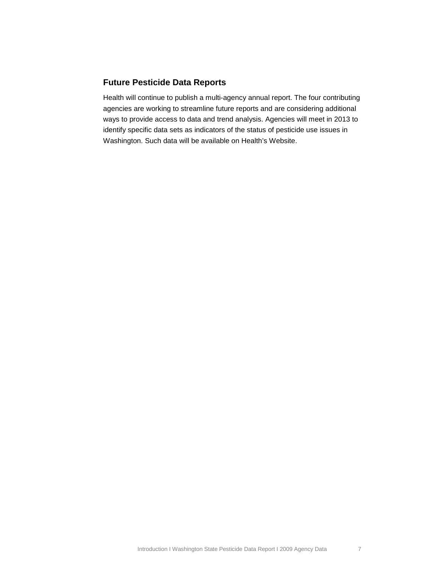## <span id="page-7-0"></span>**Future Pesticide Data Reports**

Health will continue to publish a multi-agency annual report. The four contributing agencies are working to streamline future reports and are considering additional ways to provide access to data and trend analysis. Agencies will meet in 2013 to identify specific data sets as indicators of the status of pesticide use issues in Washington. Such data will be available on Health's Website.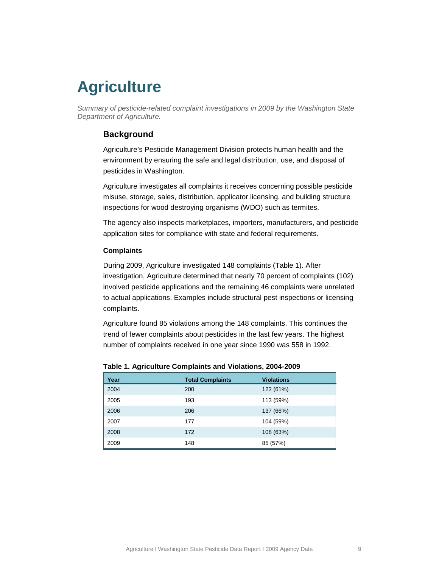# <span id="page-8-0"></span>**Agriculture**

<span id="page-8-1"></span>*Summary of pesticide-related complaint investigations in 2009 by the Washington State Department of Agriculture.*

## **Background**

Agriculture's Pesticide Management Division protects human health and the environment by ensuring the safe and legal distribution, use, and disposal of pesticides in Washington.

Agriculture investigates all complaints it receives concerning possible pesticide misuse, storage, sales, distribution, applicator licensing, and building structure inspections for wood destroying organisms (WDO) such as termites.

The agency also inspects marketplaces, importers, manufacturers, and pesticide application sites for compliance with state and federal requirements.

#### **Complaints**

During 2009, Agriculture investigated 148 complaints [\(Table 1\)](#page-8-2). After investigation, Agriculture determined that nearly 70 percent of complaints (102) involved pesticide applications and the remaining 46 complaints were unrelated to actual applications. Examples include structural pest inspections or licensing complaints.

Agriculture found 85 violations among the 148 complaints. This continues the trend of fewer complaints about pesticides in the last few years. The highest number of complaints received in one year since 1990 was 558 in 1992.

| Year | <b>Total Complaints</b> | <b>Violations</b> |
|------|-------------------------|-------------------|
| 2004 | 200                     | 122 (61%)         |
| 2005 | 193                     | 113 (59%)         |
| 2006 | 206                     | 137 (66%)         |
| 2007 | 177                     | 104 (59%)         |
| 2008 | 172                     | 108 (63%)         |
| 2009 | 148                     | 85 (57%)          |

<span id="page-8-2"></span>**Table 1. Agriculture Complaints and Violations, 2004-2009**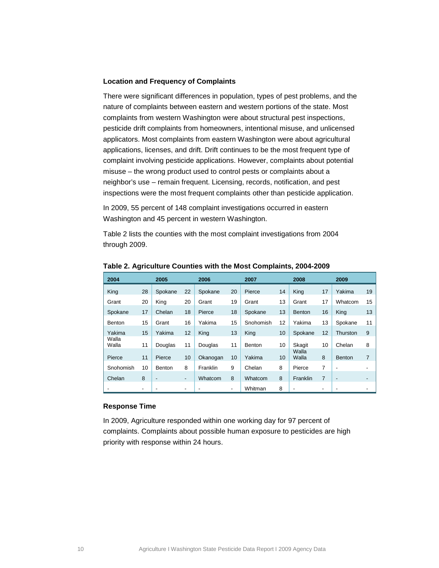#### **Location and Frequency of Complaints**

There were significant differences in population, types of pest problems, and the nature of complaints between eastern and western portions of the state. Most complaints from western Washington were about structural pest inspections, pesticide drift complaints from homeowners, intentional misuse, and unlicensed applicators. Most complaints from eastern Washington were about agricultural applications, licenses, and drift. Drift continues to be the most frequent type of complaint involving pesticide applications. However, complaints about potential misuse – the wrong product used to control pests or complaints about a neighbor's use – remain frequent. Licensing, records, notification, and pest inspections were the most frequent complaints other than pesticide application.

In 2009, 55 percent of 148 complaint investigations occurred in eastern Washington and 45 percent in western Washington.

[Table 2](#page-9-0) lists the counties with the most complaint investigations from 2004 through 2009.

| 2004           | 2005 |                          |    | 2006<br>2007 |    |               | 2008 |                | 2009 |                          |    |
|----------------|------|--------------------------|----|--------------|----|---------------|------|----------------|------|--------------------------|----|
| King           | 28   | Spokane                  | 22 | Spokane      | 20 | Pierce        | 14   | King           | 17   | Yakima                   | 19 |
| Grant          | 20   | King                     | 20 | Grant        | 19 | Grant         | 13   | Grant          | 17   | Whatcom                  | 15 |
| Spokane        | 17   | Chelan                   | 18 | Pierce       | 18 | Spokane       | 13   | <b>Benton</b>  | 16   | King                     | 13 |
| Benton         | 15   | Grant                    | 16 | Yakima       | 15 | Snohomish     | 12   | Yakima         | 13   | Spokane                  | 11 |
| Yakima         | 15   | Yakima                   | 12 | King         | 13 | King          | 10   | Spokane        | 12   | Thurston                 | 9  |
| Walla<br>Walla | 11   | Douglas                  | 11 | Douglas      | 11 | <b>Benton</b> | 10   | Skagit         | 10   | Chelan                   | 8  |
| Pierce         | 11   | Pierce                   | 10 | Okanogan     | 10 | Yakima        | 10   | Walla<br>Walla | 8    | <b>Benton</b>            | 7  |
| Snohomish      | 10   | <b>Benton</b>            | 8  | Franklin     | 9  | Chelan        | 8    | Pierce         | 7    | ۰                        | ۰  |
| Chelan         | 8    | $\overline{\phantom{a}}$ | -  | Whatcom      | 8  | Whatcom       | 8    | Franklin       | 7    | $\overline{\phantom{a}}$ | ٠  |
|                |      |                          | ٠  |              | ۰  | Whitman       | 8    | ٠              | ٠    |                          | -  |

<span id="page-9-0"></span>**Table 2. Agriculture Counties with the Most Complaints, 2004-2009**

#### **Response Time**

In 2009, Agriculture responded within one working day for 97 percent of complaints. Complaints about possible human exposure to pesticides are high priority with response within 24 hours.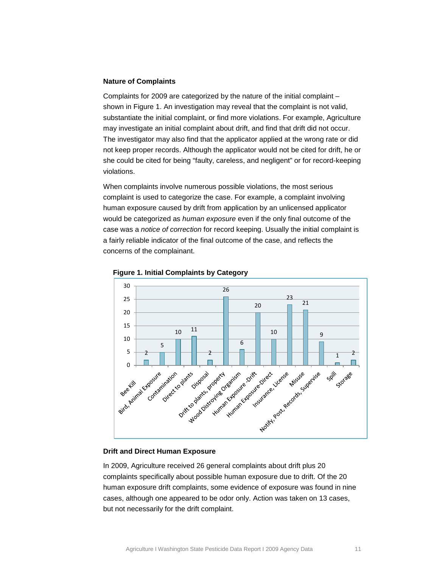#### **Nature of Complaints**

Complaints for 2009 are categorized by the nature of the initial complaint – shown in [Figure](#page-10-0) 1. An investigation may reveal that the complaint is not valid, substantiate the initial complaint, or find more violations. For example, Agriculture may investigate an initial complaint about drift, and find that drift did not occur. The investigator may also find that the applicator applied at the wrong rate or did not keep proper records. Although the applicator would not be cited for drift, he or she could be cited for being "faulty, careless, and negligent" or for record-keeping violations.

When complaints involve numerous possible violations, the most serious complaint is used to categorize the case. For example, a complaint involving human exposure caused by drift from application by an unlicensed applicator would be categorized as *human exposure* even if the only final outcome of the case was a *notice of correction* for record keeping. Usually the initial complaint is a fairly reliable indicator of the final outcome of the case, and reflects the concerns of the complainant.



<span id="page-10-0"></span>

#### **Drift and Direct Human Exposure**

In 2009, Agriculture received 26 general complaints about drift plus 20 complaints specifically about possible human exposure due to drift. Of the 20 human exposure drift complaints, some evidence of exposure was found in nine cases, although one appeared to be odor only. Action was taken on 13 cases, but not necessarily for the drift complaint.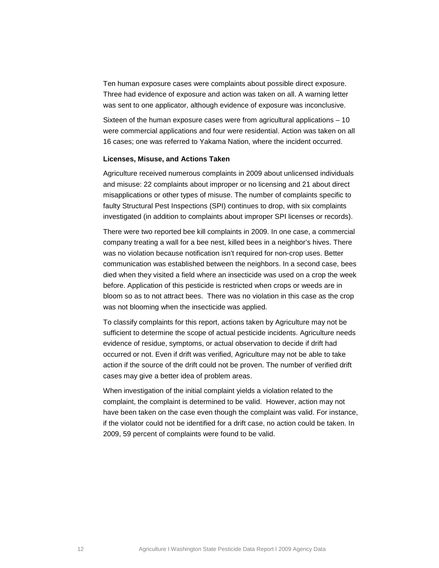Ten human exposure cases were complaints about possible direct exposure. Three had evidence of exposure and action was taken on all. A warning letter was sent to one applicator, although evidence of exposure was inconclusive.

Sixteen of the human exposure cases were from agricultural applications – 10 were commercial applications and four were residential. Action was taken on all 16 cases; one was referred to Yakama Nation, where the incident occurred.

#### **Licenses, Misuse, and Actions Taken**

Agriculture received numerous complaints in 2009 about unlicensed individuals and misuse: 22 complaints about improper or no licensing and 21 about direct misapplications or other types of misuse. The number of complaints specific to faulty Structural Pest Inspections (SPI) continues to drop, with six complaints investigated (in addition to complaints about improper SPI licenses or records).

There were two reported bee kill complaints in 2009. In one case, a commercial company treating a wall for a bee nest, killed bees in a neighbor's hives. There was no violation because notification isn't required for non-crop uses. Better communication was established between the neighbors. In a second case, bees died when they visited a field where an insecticide was used on a crop the week before. Application of this pesticide is restricted when crops or weeds are in bloom so as to not attract bees. There was no violation in this case as the crop was not blooming when the insecticide was applied.

To classify complaints for this report, actions taken by Agriculture may not be sufficient to determine the scope of actual pesticide incidents. Agriculture needs evidence of residue, symptoms, or actual observation to decide if drift had occurred or not. Even if drift was verified, Agriculture may not be able to take action if the source of the drift could not be proven. The number of verified drift cases may give a better idea of problem areas.

When investigation of the initial complaint yields a violation related to the complaint, the complaint is determined to be valid. However, action may not have been taken on the case even though the complaint was valid. For instance, if the violator could not be identified for a drift case, no action could be taken. In 2009, 59 percent of complaints were found to be valid.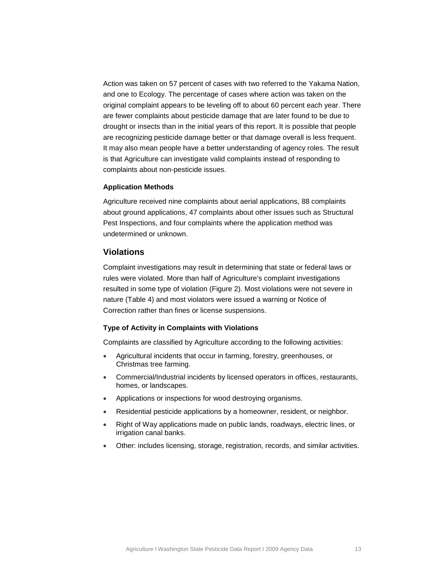Action was taken on 57 percent of cases with two referred to the Yakama Nation, and one to Ecology. The percentage of cases where action was taken on the original complaint appears to be leveling off to about 60 percent each year. There are fewer complaints about pesticide damage that are later found to be due to drought or insects than in the initial years of this report. It is possible that people are recognizing pesticide damage better or that damage overall is less frequent. It may also mean people have a better understanding of agency roles. The result is that Agriculture can investigate valid complaints instead of responding to complaints about non-pesticide issues.

#### **Application Methods**

Agriculture received nine complaints about aerial applications, 88 complaints about ground applications, 47 complaints about other issues such as Structural Pest Inspections, and four complaints where the application method was undetermined or unknown.

## <span id="page-12-0"></span>**Violations**

Complaint investigations may result in determining that state or federal laws or rules were violated. More than half of Agriculture's complaint investigations resulted in some type of violation [\(Figure 2\)](#page-13-1). Most violations were not severe in nature [\(Table 4\)](#page-15-0) and most violators were issued a warning or Notice of Correction rather than fines or license suspensions.

#### **Type of Activity in Complaints with Violations**

Complaints are classified by Agriculture according to the following activities:

- Agricultural incidents that occur in farming, forestry, greenhouses, or Christmas tree farming.
- Commercial/Industrial incidents by licensed operators in offices, restaurants, homes, or landscapes.
- Applications or inspections for wood destroying organisms.
- Residential pesticide applications by a homeowner, resident, or neighbor.
- Right of Way applications made on public lands, roadways, electric lines, or irrigation canal banks.
- Other: includes licensing, storage, registration, records, and similar activities.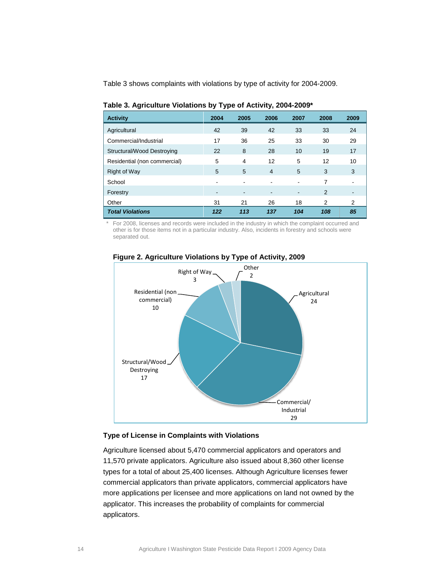[Table 3](#page-13-0) shows complaints with violations by type of activity for 2004-2009.

| <b>Activity</b>              | 2004 | 2005 | 2006           | 2007 | 2008 | 2009           |
|------------------------------|------|------|----------------|------|------|----------------|
| Agricultural                 | 42   | 39   | 42             | 33   | 33   | 24             |
| Commercial/Industrial        | 17   | 36   | 25             | 33   | 30   | 29             |
| Structural/Wood Destroying   | 22   | 8    | 28             | 10   | 19   | 17             |
| Residential (non commercial) | 5    | 4    | 12             | 5    | 12   | 10             |
| <b>Right of Way</b>          | 5    | 5    | $\overline{4}$ | 5    | 3    | 3              |
| School                       | ۰    |      |                |      | 7    |                |
| Forestry                     | ٠    | ۰    |                | -    | 2    | $\blacksquare$ |
| Other                        | 31   | 21   | 26             | 18   | 2    | 2              |
| <b>Total Violations</b>      | 122  | 113  | 137            | 104  | 108  | 85             |

<span id="page-13-0"></span>**Table 3. Agriculture Violations by Type of Activity, 2004-2009\***

For 2008, licenses and records were included in the industry in which the complaint occurred and other is for those items not in a particular industry. Also, incidents in forestry and schools were separated out.



## <span id="page-13-1"></span>**Figure 2. Agriculture Violations by Type of Activity, 2009**

#### **Type of License in Complaints with Violations**

Agriculture licensed about 5,470 commercial applicators and operators and 11,570 private applicators. Agriculture also issued about 8,360 other license types for a total of about 25,400 licenses. Although Agriculture licenses fewer commercial applicators than private applicators, commercial applicators have more applications per licensee and more applications on land not owned by the applicator. This increases the probability of complaints for commercial applicators.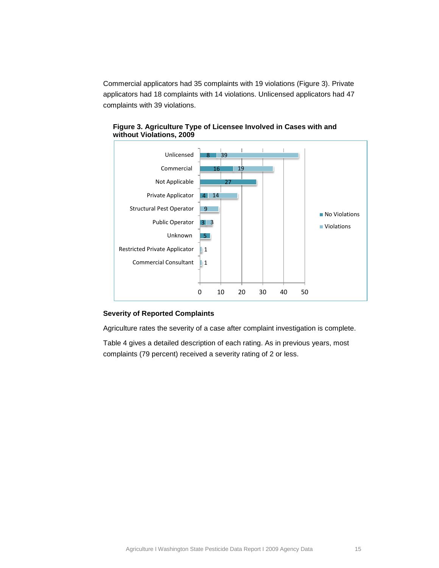Commercial applicators had 35 complaints with 19 violations [\(Figure 3\)](#page-14-0). Private applicators had 18 complaints with 14 violations. Unlicensed applicators had 47 complaints with 39 violations.



<span id="page-14-0"></span>**Figure 3. Agriculture Type of Licensee Involved in Cases with and without Violations, 2009**

## **Severity of Reported Complaints**

Agriculture rates the severity of a case after complaint investigation is complete.

[Table 4](#page-15-0) gives a detailed description of each rating. As in previous years, most complaints (79 percent) received a severity rating of 2 or less.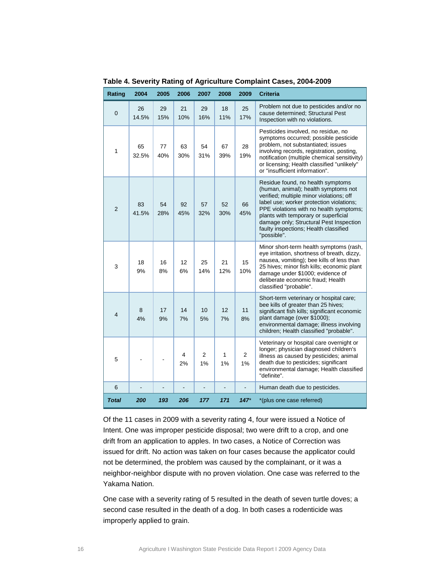| Rating         | 2004        | 2005      | 2006      | 2007                 | 2008      | 2009                 | <b>Criteria</b>                                                                                                                                                                                                                                                                                                                                         |
|----------------|-------------|-----------|-----------|----------------------|-----------|----------------------|---------------------------------------------------------------------------------------------------------------------------------------------------------------------------------------------------------------------------------------------------------------------------------------------------------------------------------------------------------|
| $\mathbf 0$    | 26<br>14.5% | 29<br>15% | 21<br>10% | 29<br>16%            | 18<br>11% | 25<br>17%            | Problem not due to pesticides and/or no<br>cause determined; Structural Pest<br>Inspection with no violations.                                                                                                                                                                                                                                          |
| 1              | 65<br>32.5% | 77<br>40% | 63<br>30% | 54<br>31%            | 67<br>39% | 28<br>19%            | Pesticides involved, no residue, no<br>symptoms occurred; possible pesticide<br>problem, not substantiated; issues<br>involving records, registration, posting,<br>notification (multiple chemical sensitivity)<br>or licensing; Health classified "unlikely"<br>or "insufficient information".                                                         |
| $\overline{2}$ | 83<br>41.5% | 54<br>28% | 92<br>45% | 57<br>32%            | 52<br>30% | 66<br>45%            | Residue found, no health symptoms<br>(human, animal); health symptoms not<br>verified; multiple minor violations; off<br>label use; worker protection violations;<br>PPE violations with no health symptoms;<br>plants with temporary or superficial<br>damage only; Structural Pest Inspection<br>faulty inspections; Health classified<br>"possible". |
| 3              | 18<br>9%    | 16<br>8%  | 12<br>6%  | 25<br>14%            | 21<br>12% | 15<br>10%            | Minor short-term health symptoms (rash,<br>eye irritation, shortness of breath, dizzy,<br>nausea, vomiting); bee kills of less than<br>25 hives; minor fish kills; economic plant<br>damage under \$1000; evidence of<br>deliberate economic fraud; Health<br>classified "probable".                                                                    |
| 4              | 8<br>4%     | 17<br>9%  | 14<br>7%  | 10<br>5%             | 12<br>7%  | 11<br>8%             | Short-term veterinary or hospital care;<br>bee kills of greater than 25 hives;<br>significant fish kills; significant economic<br>plant damage (over \$1000);<br>environmental damage; illness involving<br>children; Health classified "probable".                                                                                                     |
| 5              |             |           | 4<br>2%   | $\overline{2}$<br>1% | 1<br>1%   | $\overline{2}$<br>1% | Veterinary or hospital care overnight or<br>longer; physician diagnosed children's<br>illness as caused by pesticides; animal<br>death due to pesticides; significant<br>environmental damage; Health classified<br>"definite".                                                                                                                         |
| 6              |             |           |           |                      |           |                      | Human death due to pesticides.                                                                                                                                                                                                                                                                                                                          |
| <b>Total</b>   | 200         | 193       | 206       | 177                  | 171       | $147*$               | *(plus one case referred)                                                                                                                                                                                                                                                                                                                               |

<span id="page-15-0"></span>**Table 4. Severity Rating of Agriculture Complaint Cases, 2004-2009**

Of the 11 cases in 2009 with a severity rating 4, four were issued a Notice of Intent. One was improper pesticide disposal; two were drift to a crop, and one drift from an application to apples. In two cases, a Notice of Correction was issued for drift. No action was taken on four cases because the applicator could not be determined, the problem was caused by the complainant, or it was a neighbor-neighbor dispute with no proven violation. One case was referred to the Yakama Nation.

One case with a severity rating of 5 resulted in the death of seven turtle doves; a second case resulted in the death of a dog. In both cases a rodenticide was improperly applied to grain.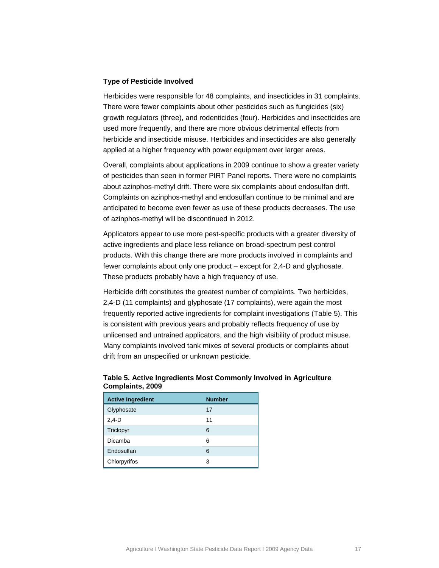#### **Type of Pesticide Involved**

Herbicides were responsible for 48 complaints, and insecticides in 31 complaints. There were fewer complaints about other pesticides such as fungicides (six) growth regulators (three), and rodenticides (four). Herbicides and insecticides are used more frequently, and there are more obvious detrimental effects from herbicide and insecticide misuse. Herbicides and insecticides are also generally applied at a higher frequency with power equipment over larger areas.

Overall, complaints about applications in 2009 continue to show a greater variety of pesticides than seen in former PIRT Panel reports. There were no complaints about azinphos-methyl drift. There were six complaints about endosulfan drift. Complaints on azinphos-methyl and endosulfan continue to be minimal and are anticipated to become even fewer as use of these products decreases. The use of azinphos-methyl will be discontinued in 2012.

Applicators appear to use more pest-specific products with a greater diversity of active ingredients and place less reliance on broad-spectrum pest control products. With this change there are more products involved in complaints and fewer complaints about only one product – except for 2,4-D and glyphosate. These products probably have a high frequency of use.

Herbicide drift constitutes the greatest number of complaints. Two herbicides, 2,4-D (11 complaints) and glyphosate (17 complaints), were again the most frequently reported active ingredients for complaint investigations [\(Table 5\)](#page-16-0). This is consistent with previous years and probably reflects frequency of use by unlicensed and untrained applicators, and the high visibility of product misuse. Many complaints involved tank mixes of several products or complaints about drift from an unspecified or unknown pesticide.

### <span id="page-16-0"></span>**Table 5. Active Ingredients Most Commonly Involved in Agriculture Complaints, 2009**

| <b>Active Ingredient</b> | <b>Number</b> |
|--------------------------|---------------|
| Glyphosate               | 17            |
| $2,4 - D$                | 11            |
| Triclopyr                | 6             |
| Dicamba                  | 6             |
| Endosulfan               | 6             |
| Chlorpyrifos             | 3             |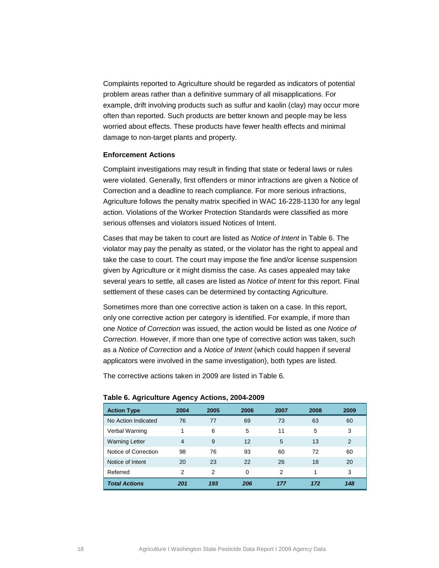Complaints reported to Agriculture should be regarded as indicators of potential problem areas rather than a definitive summary of all misapplications. For example, drift involving products such as sulfur and kaolin (clay) may occur more often than reported. Such products are better known and people may be less worried about effects. These products have fewer health effects and minimal damage to non-target plants and property.

#### **Enforcement Actions**

Complaint investigations may result in finding that state or federal laws or rules were violated. Generally, first offenders or minor infractions are given a Notice of Correction and a deadline to reach compliance. For more serious infractions, Agriculture follows the penalty matrix specified in WAC 16-228-1130 for any legal action. Violations of the Worker Protection Standards were classified as more serious offenses and violators issued Notices of Intent.

Cases that may be taken to court are listed as *Notice of Intent* in Table 6. The violator may pay the penalty as stated, or the violator has the right to appeal and take the case to court. The court may impose the fine and/or license suspension given by Agriculture or it might dismiss the case. As cases appealed may take several years to settle, all cases are listed as *Notice of Intent* for this report. Final settlement of these cases can be determined by contacting Agriculture.

Sometimes more than one corrective action is taken on a case. In this report, only one corrective action per category is identified. For example, if more than one *Notice of Correction* was issued, the action would be listed as one *Notice of Correction*. However, if more than one type of corrective action was taken, such as a *Notice of Correction* and a *Notice of Intent* (which could happen if several applicators were involved in the same investigation), both types are listed.

The corrective actions taken in 2009 are listed in [Table 6.](#page-17-0)

| <b>Action Type</b>    | 2004           | 2005 | 2006 | 2007           | 2008 | 2009 |
|-----------------------|----------------|------|------|----------------|------|------|
| No Action Indicated   | 76             | 77   | 69   | 73             | 63   | 60   |
| Verbal Warning        | 1              | 6    | 5    | 11             | 5    | 3    |
| <b>Warning Letter</b> | $\overline{4}$ | 9    | 12   | 5              | 13   | 2    |
| Notice of Correction  | 98             | 76   | 93   | 60             | 72   | 60   |
| Notice of Intent      | 20             | 23   | 22   | 26             | 18   | 20   |
| Referred              | $\overline{2}$ | 2    | 0    | $\overline{2}$ | 1    | 3    |
| <b>Total Actions</b>  | 201            | 193  | 206  | 177            | 172  | 148  |

#### <span id="page-17-0"></span>**Table 6. Agriculture Agency Actions, 2004-2009**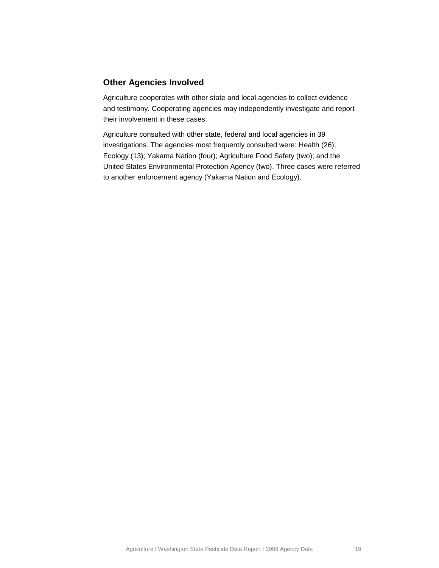## <span id="page-18-0"></span>**Other Agencies Involved**

Agriculture cooperates with other state and local agencies to collect evidence and testimony. Cooperating agencies may independently investigate and report their involvement in these cases.

Agriculture consulted with other state, federal and local agencies in 39 investigations. The agencies most frequently consulted were: Health (26); Ecology (13); Yakama Nation (four); Agriculture Food Safety (two); and the United States Environmental Protection Agency (two). Three cases were referred to another enforcement agency (Yakama Nation and Ecology).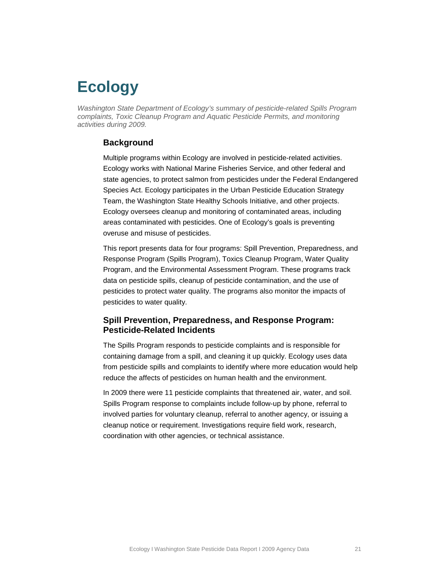# <span id="page-19-0"></span>**Ecology**

*Washington State Department of Ecology's summary of pesticide-related Spills Program complaints, Toxic Cleanup Program and Aquatic Pesticide Permits, and monitoring activities during 2009.*

## <span id="page-19-1"></span>**Background**

Multiple programs within Ecology are involved in pesticide-related activities. Ecology works with National Marine Fisheries Service, and other federal and state agencies, to protect salmon from pesticides under the Federal Endangered Species Act. Ecology participates in the Urban Pesticide Education Strategy Team, the Washington State Healthy Schools Initiative, and other projects. Ecology oversees cleanup and monitoring of contaminated areas, including areas contaminated with pesticides. One of Ecology's goals is preventing overuse and misuse of pesticides.

This report presents data for four programs: Spill Prevention, Preparedness, and Response Program (Spills Program), Toxics Cleanup Program, Water Quality Program, and the Environmental Assessment Program. These programs track data on pesticide spills, cleanup of pesticide contamination, and the use of pesticides to protect water quality. The programs also monitor the impacts of pesticides to water quality.

## <span id="page-19-2"></span>**Spill Prevention, Preparedness, and Response Program: Pesticide-Related Incidents**

The Spills Program responds to pesticide complaints and is responsible for containing damage from a spill, and cleaning it up quickly. Ecology uses data from pesticide spills and complaints to identify where more education would help reduce the affects of pesticides on human health and the environment.

In 2009 there were 11 pesticide complaints that threatened air, water, and soil. Spills Program response to complaints include follow-up by phone, referral to involved parties for voluntary cleanup, referral to another agency, or issuing a cleanup notice or requirement. Investigations require field work, research, coordination with other agencies, or technical assistance.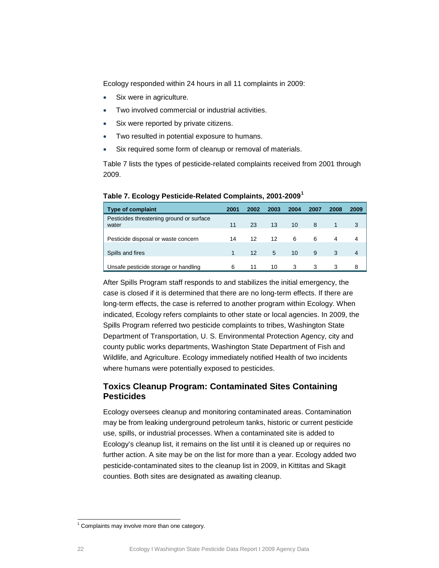Ecology responded within 24 hours in all 11 complaints in 2009:

- Six were in agriculture.
- Two involved commercial or industrial activities.
- Six were reported by private citizens.
- Two resulted in potential exposure to humans.
- Six required some form of cleanup or removal of materials.

[Table 7](#page-20-1) lists the types of pesticide-related complaints received from 2001 through 2009.

<span id="page-20-1"></span>

|  | Table 7. Ecology Pesticide-Related Complaints, 2001-2009 <sup>1</sup> |  |  |
|--|-----------------------------------------------------------------------|--|--|
|--|-----------------------------------------------------------------------|--|--|

| <b>Type of complaint</b>                          | 2001 | 2002 | 2003 | 2004 | 2007 | 2008 | 2009 |
|---------------------------------------------------|------|------|------|------|------|------|------|
| Pesticides threatening ground or surface<br>water | 11   | 23   | 13   | 10   | 8    |      | 3    |
| Pesticide disposal or waste concern               | 14   | 12   | 12   | 6    | 6    | 4    | 4    |
| Spills and fires                                  |      | 12   | 5    | 10   | 9    | 3    | 4    |
| Unsafe pesticide storage or handling              | 6    | 11   | 10   | 3    | 3    | 3    | 8    |

After Spills Program staff responds to and stabilizes the initial emergency, the case is closed if it is determined that there are no long-term effects. If there are long-term effects, the case is referred to another program within Ecology. When indicated, Ecology refers complaints to other state or local agencies. In 2009, the Spills Program referred two pesticide complaints to tribes, Washington State Department of Transportation, U. S. Environmental Protection Agency, city and county public works departments, Washington State Department of Fish and Wildlife, and Agriculture. Ecology immediately notified Health of two incidents where humans were potentially exposed to pesticides.

## <span id="page-20-0"></span>**Toxics Cleanup Program: Contaminated Sites Containing Pesticides**

Ecology oversees cleanup and monitoring contaminated areas. Contamination may be from leaking underground petroleum tanks, historic or current pesticide use, spills, or industrial processes. When a contaminated site is added to Ecology's cleanup list, it remains on the list until it is cleaned up or requires no further action. A site may be on the list for more than a year. Ecology added two pesticide-contaminated sites to the cleanup list in 2009, in Kittitas and Skagit counties. Both sites are designated as awaiting cleanup.

<span id="page-20-2"></span> $1$  Complaints may involve more than one category.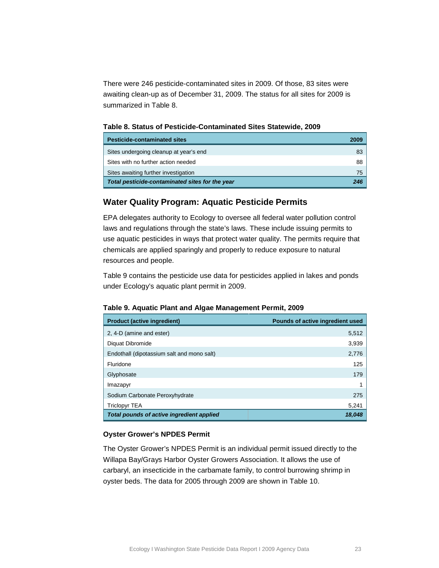There were 246 pesticide-contaminated sites in 2009. Of those, 83 sites were awaiting clean-up as of December 31, 2009. The status for all sites for 2009 is summarized in [Table 8.](#page-21-1)

<span id="page-21-1"></span>**Table 8. Status of Pesticide-Contaminated Sites Statewide, 2009**

| <b>Pesticide-contaminated sites</b>             | 2009 |
|-------------------------------------------------|------|
| Sites undergoing cleanup at year's end          | 83   |
| Sites with no further action needed             | 88   |
| Sites awaiting further investigation            | 75   |
| Total pesticide-contaminated sites for the year | 246  |

## <span id="page-21-0"></span>**Water Quality Program: Aquatic Pesticide Permits**

EPA delegates authority to Ecology to oversee all federal water pollution control laws and regulations through the state's laws. These include issuing permits to use aquatic pesticides in ways that protect water quality. The permits require that chemicals are applied sparingly and properly to reduce exposure to natural resources and people.

[Table 9](#page-21-2) contains the pesticide use data for pesticides applied in lakes and ponds under Ecology's aquatic plant permit in 2009.

| <b>Product (active ingredient)</b>         | Pounds of active ingredient used |
|--------------------------------------------|----------------------------------|
| 2, 4-D (amine and ester)                   | 5,512                            |
| Diquat Dibromide                           | 3,939                            |
| Endothall (dipotassium salt and mono salt) | 2,776                            |
| Fluridone                                  | 125                              |
| Glyphosate                                 | 179                              |
| Imazapyr                                   |                                  |
| Sodium Carbonate Peroxyhydrate             | 275                              |
| Triclopyr TEA                              | 5,241                            |
| Total pounds of active ingredient applied  | 18.048                           |

### <span id="page-21-2"></span>**Table 9. Aquatic Plant and Algae Management Permit, 2009**

### **Oyster Grower's NPDES Permit**

The Oyster Grower's NPDES Permit is an individual permit issued directly to the Willapa Bay/Grays Harbor Oyster Growers Association. It allows the use of carbaryl, an insecticide in the carbamate family, to control burrowing shrimp in oyster beds. The data for 2005 through 2009 are shown in [Table 10.](#page-22-0)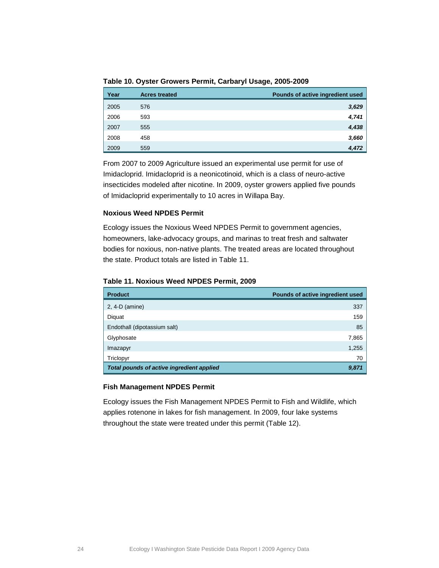<span id="page-22-0"></span>**Table 10. Oyster Growers Permit, Carbaryl Usage, 2005-2009**

| Year | <b>Acres treated</b> | Pounds of active ingredient used |
|------|----------------------|----------------------------------|
| 2005 | 576                  | 3,629                            |
| 2006 | 593                  | 4,741                            |
| 2007 | 555                  | 4,438                            |
| 2008 | 458                  | 3,660                            |
| 2009 | 559                  | 4.472                            |

From 2007 to 2009 Agriculture issued an experimental use permit for use of Imidacloprid. Imidacloprid is a neonicotinoid, which is a class of neuro-active insecticides modeled after nicotine. In 2009, oyster growers applied five pounds of Imidacloprid experimentally to 10 acres in Willapa Bay.

### **Noxious Weed NPDES Permit**

Ecology issues the Noxious Weed NPDES Permit to government agencies, homeowners, lake-advocacy groups, and marinas to treat fresh and saltwater bodies for noxious, non-native plants. The treated areas are located throughout the state. Product totals are listed in [Table](#page-22-1) 11.

### <span id="page-22-1"></span>**Table 11. Noxious Weed NPDES Permit, 2009**

| <b>Product</b>                            | Pounds of active ingredient used |
|-------------------------------------------|----------------------------------|
| $2, 4-D$ (amine)                          | 337                              |
| Diquat                                    | 159                              |
| Endothall (dipotassium salt)              | 85                               |
| Glyphosate                                | 7,865                            |
| Imazapyr                                  | 1,255                            |
| Triclopyr                                 | 70                               |
| Total pounds of active ingredient applied | 9,871                            |

### **Fish Management NPDES Permit**

Ecology issues the Fish Management NPDES Permit to Fish and Wildlife, which applies rotenone in lakes for fish management. In 2009, four lake systems throughout the state were treated under this permit [\(Table 12\)](#page-23-0).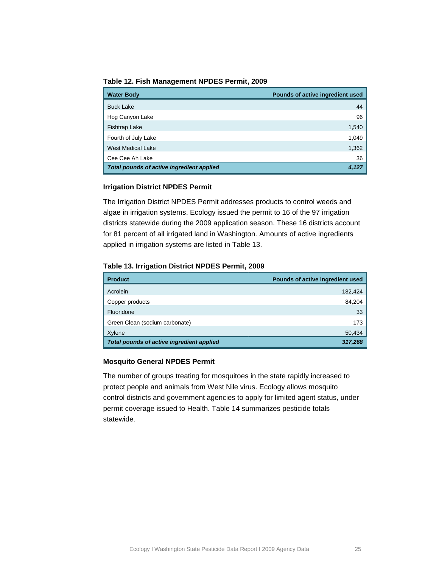<span id="page-23-0"></span>**Table 12. Fish Management NPDES Permit, 2009**

| <b>Water Body</b>                         | Pounds of active ingredient used |
|-------------------------------------------|----------------------------------|
| <b>Buck Lake</b>                          | 44                               |
| Hog Canyon Lake                           | 96                               |
| <b>Fishtrap Lake</b>                      | 1,540                            |
| Fourth of July Lake                       | 1,049                            |
| <b>West Medical Lake</b>                  | 1,362                            |
| Cee Cee Ah Lake                           | 36                               |
| Total pounds of active ingredient applied | 4,127                            |

### **Irrigation District NPDES Permit**

The Irrigation District NPDES Permit addresses products to control weeds and algae in irrigation systems. Ecology issued the permit to 16 of the 97 irrigation districts statewide during the 2009 application season. These 16 districts account for 81 percent of all irrigated land in Washington. Amounts of active ingredients applied in irrigation systems are listed in [Table](#page-23-1) 13.

#### <span id="page-23-1"></span>**Table 13. Irrigation District NPDES Permit, 2009**

| <b>Product</b>                            | Pounds of active ingredient used |
|-------------------------------------------|----------------------------------|
| Acrolein                                  | 182,424                          |
| Copper products                           | 84,204                           |
| Fluoridone                                | 33                               |
| Green Clean (sodium carbonate)            | 173                              |
| Xylene                                    | 50,434                           |
| Total pounds of active ingredient applied | 317,268                          |

#### **Mosquito General NPDES Permit**

The number of groups treating for mosquitoes in the state rapidly increased to protect people and animals from West Nile virus. Ecology allows mosquito control districts and government agencies to apply for limited agent status, under permit coverage issued to Health. [Table 14](#page-24-1) summarizes pesticide totals statewide.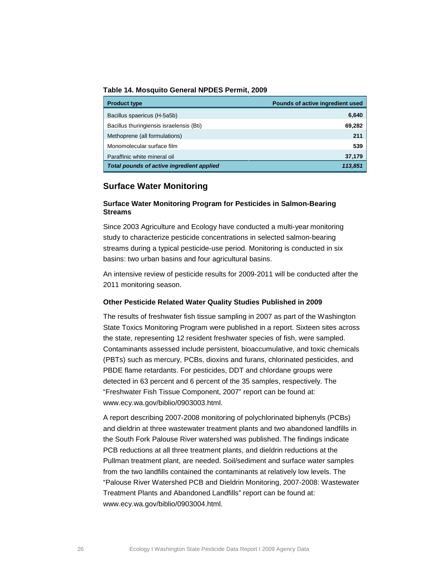<span id="page-24-1"></span>**Table 14. Mosquito General NPDES Permit, 2009**

| <b>Product type</b>                       | Pounds of active ingredient used |
|-------------------------------------------|----------------------------------|
| Bacillus spaericus (H-5a5b)               | 6,640                            |
| Bacillus thuringiensis israelensis (Bti)  | 69,282                           |
| Methoprene (all formulations)             | 211                              |
| Monomolecular surface film                | 539                              |
| Paraffinic white mineral oil              | 37,179                           |
| Total pounds of active ingredient applied | 113,851                          |

## <span id="page-24-0"></span>**Surface Water Monitoring**

#### **Surface Water Monitoring Program for Pesticides in Salmon-Bearing Streams**

Since 2003 Agriculture and Ecology have conducted a multi-year monitoring study to characterize pesticide concentrations in selected salmon-bearing streams during a typical pesticide-use period. Monitoring is conducted in six basins: two urban basins and four agricultural basins.

An intensive review of pesticide results for 2009-2011 will be conducted after the 2011 monitoring season.

#### **Other Pesticide Related Water Quality Studies Published in 2009**

The results of freshwater fish tissue sampling in 2007 as part of the Washington State Toxics Monitoring Program were published in a report. Sixteen sites across the state, representing 12 resident freshwater species of fish, were sampled. Contaminants assessed include persistent, bioaccumulative, and toxic chemicals (PBTs) such as mercury, PCBs, dioxins and furans, chlorinated pesticides, and PBDE flame retardants. For pesticides, DDT and chlordane groups were detected in 63 percent and 6 percent of the 35 samples, respectively. The "Freshwater Fish Tissue Component, 2007" report can be found at: [www.ecy.wa.gov/biblio/0903003.html.](http://www.ecy.wa.gov/biblio/0903003.html)

A report describing 2007-2008 monitoring of polychlorinated biphenyls (PCBs) and dieldrin at three wastewater treatment plants and two abandoned landfills in the South Fork Palouse River watershed was published. The findings indicate PCB reductions at all three treatment plants, and dieldrin reductions at the Pullman treatment plant, are needed. Soil/sediment and surface water samples from the two landfills contained the contaminants at relatively low levels. The "Palouse River Watershed PCB and Dieldrin Monitoring, 2007-2008: Wastewater Treatment Plants and Abandoned Landfills" report can be found at: [www.ecy.wa.gov/biblio/0903004.html.](http://www.ecy.wa.gov/biblio/0903004.html)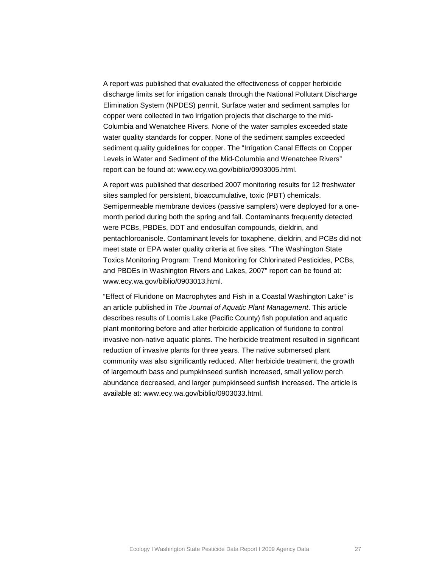A report was published that evaluated the effectiveness of copper herbicide discharge limits set for irrigation canals through the National Pollutant Discharge Elimination System (NPDES) permit. Surface water and sediment samples for copper were collected in two irrigation projects that discharge to the mid-Columbia and Wenatchee Rivers. None of the water samples exceeded state water quality standards for copper. None of the sediment samples exceeded sediment quality guidelines for copper. The "Irrigation Canal Effects on Copper Levels in Water and Sediment of the Mid-Columbia and Wenatchee Rivers" report can be found at: [www.ecy.wa.gov/biblio/0903005.html.](http://www.ecy.wa.gov/biblio/0903005.html)

A report was published that described 2007 monitoring results for 12 freshwater sites sampled for persistent, bioaccumulative, toxic (PBT) chemicals. Semipermeable membrane devices (passive samplers) were deployed for a onemonth period during both the spring and fall. Contaminants frequently detected were PCBs, PBDEs, DDT and endosulfan compounds, dieldrin, and pentachloroanisole. Contaminant levels for toxaphene, dieldrin, and PCBs did not meet state or EPA water quality criteria at five sites. "The Washington State Toxics Monitoring Program: Trend Monitoring for Chlorinated Pesticides, PCBs, and PBDEs in Washington Rivers and Lakes, 2007" report can be found at: [www.ecy.wa.gov/biblio/0903013.html.](http://www.ecy.wa.gov/biblio/0903013.html)

"Effect of Fluridone on Macrophytes and Fish in a Coastal Washington Lake" is an article published in *The Journal of Aquatic Plant Management*. This article describes results of Loomis Lake (Pacific County) fish population and aquatic plant monitoring before and after herbicide application of fluridone to control invasive non-native aquatic plants. The herbicide treatment resulted in significant reduction of invasive plants for three years. The native submersed plant community was also significantly reduced. After herbicide treatment, the growth of largemouth bass and pumpkinseed sunfish increased, small yellow perch abundance decreased, and larger pumpkinseed sunfish increased. The article is available at: [www.ecy.wa.gov/biblio/0903033.html.](http://www.ecy.wa.gov/biblio/0903033.html)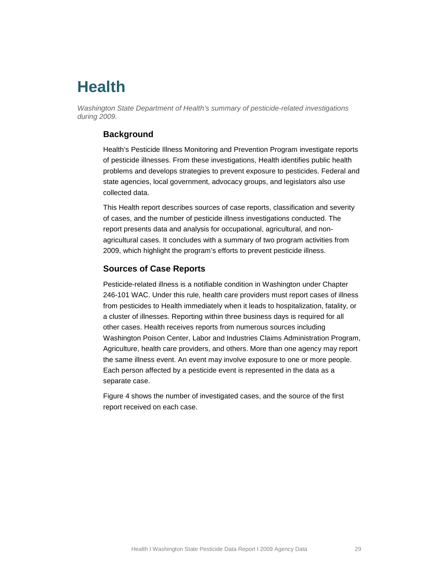# <span id="page-26-0"></span>**Health**

<span id="page-26-1"></span>*Washington State Department of Health's summary of pesticide-related investigations during 2009.*

## **Background**

Health's Pesticide Illness Monitoring and Prevention Program investigate reports of pesticide illnesses. From these investigations, Health identifies public health problems and develops strategies to prevent exposure to pesticides. Federal and state agencies, local government, advocacy groups, and legislators also use collected data.

This Health report describes sources of case reports, classification and severity of cases, and the number of pesticide illness investigations conducted. The report presents data and analysis for occupational, agricultural, and nonagricultural cases. It concludes with a summary of two program activities from 2009, which highlight the program's efforts to prevent pesticide illness.

## <span id="page-26-2"></span>**Sources of Case Reports**

Pesticide-related illness is a notifiable condition in Washington under Chapter 246-101 WAC. Under this rule, health care providers must report cases of illness from pesticides to Health immediately when it leads to hospitalization, fatality, or a cluster of illnesses. Reporting within three business days is required for all other cases. Health receives reports from numerous sources including Washington Poison Center, Labor and Industries Claims Administration Program, Agriculture, health care providers, and others. More than one agency may report the same illness event. An event may involve exposure to one or more people. Each person affected by a pesticide event is represented in the data as a separate case.

[Figure 4](#page-27-0) shows the number of investigated cases, and the source of the first report received on each case.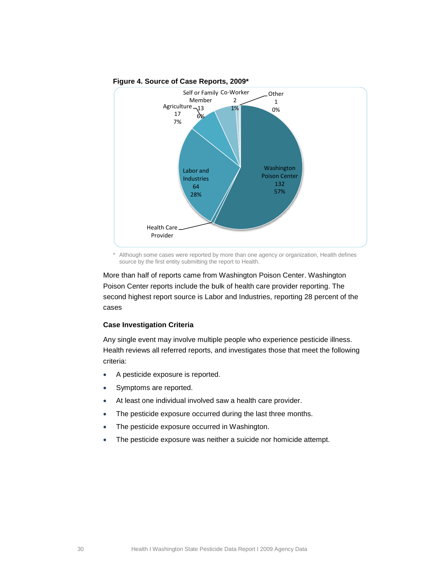<span id="page-27-0"></span>

#### **Figure 4. Source of Case Reports, 2009\***

Although some cases were reported by more than one agency or organization, Health defines source by the first entity submitting the report to Health.

More than half of reports came from Washington Poison Center. Washington Poison Center reports include the bulk of health care provider reporting. The second highest report source is Labor and Industries, reporting 28 percent of the cases

#### **Case Investigation Criteria**

Any single event may involve multiple people who experience pesticide illness. Health reviews all referred reports, and investigates those that meet the following criteria:

- A pesticide exposure is reported.
- Symptoms are reported.
- At least one individual involved saw a health care provider.
- The pesticide exposure occurred during the last three months.
- The pesticide exposure occurred in Washington.
- The pesticide exposure was neither a suicide nor homicide attempt.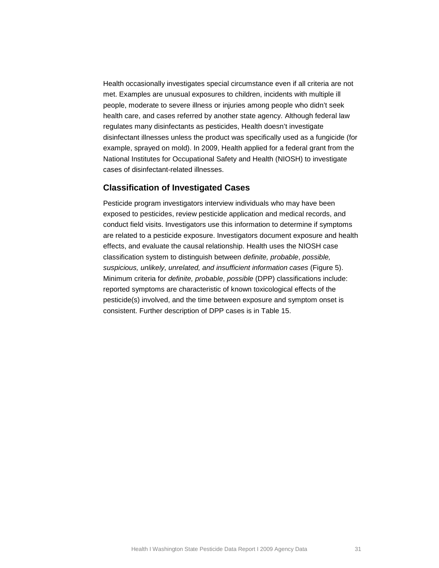Health occasionally investigates special circumstance even if all criteria are not met. Examples are unusual exposures to children, incidents with multiple ill people, moderate to severe illness or injuries among people who didn't seek health care, and cases referred by another state agency. Although federal law regulates many disinfectants as pesticides, Health doesn't investigate disinfectant illnesses unless the product was specifically used as a fungicide (for example, sprayed on mold). In 2009, Health applied for a federal grant from the National Institutes for Occupational Safety and Health (NIOSH) to investigate cases of disinfectant-related illnesses.

### <span id="page-28-0"></span>**Classification of Investigated Cases**

Pesticide program investigators interview individuals who may have been exposed to pesticides, review pesticide application and medical records, and conduct field visits. Investigators use this information to determine if symptoms are related to a pesticide exposure. Investigators document exposure and health effects, and evaluate the causal relationship. Health uses the NIOSH case classification system to distinguish between *definite, probable*, *possible, suspicious, unlikely, unrelated, and insufficient information cases* [\(Figure 5\)](#page-29-2). Minimum criteria for *definite, probable*, *possible* (DPP) classifications include: reported symptoms are characteristic of known toxicological effects of the pesticide(s) involved, and the time between exposure and symptom onset is consistent. Further description of DPP cases is in [Table 15.](#page-29-1)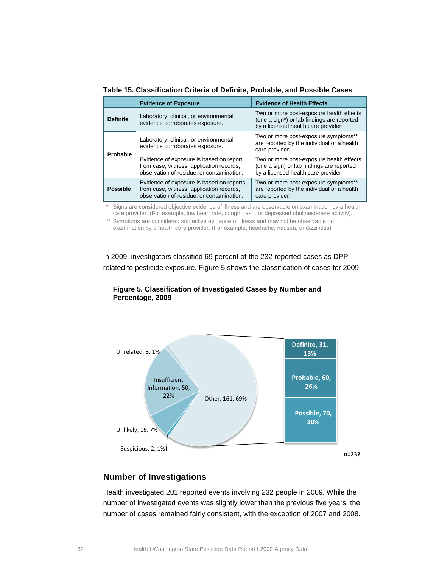|                                                                                              | <b>Evidence of Exposure</b>                                                                                                       | <b>Evidence of Health Effects</b>                                                                                             |  |  |
|----------------------------------------------------------------------------------------------|-----------------------------------------------------------------------------------------------------------------------------------|-------------------------------------------------------------------------------------------------------------------------------|--|--|
| Laboratory, clinical, or environmental<br><b>Definite</b><br>evidence corroborates exposure. |                                                                                                                                   | Two or more post-exposure health effects<br>(one a sign*) or lab findings are reported<br>by a licensed health care provider. |  |  |
| Probable                                                                                     | Laboratory, clinical, or environmental<br>evidence corroborates exposure.                                                         | Two or more post-exposure symptoms**<br>are reported by the individual or a health<br>care provider.                          |  |  |
|                                                                                              | Evidence of exposure is based on report<br>from case, witness, application records,<br>observation of residue, or contamination.  | Two or more post-exposure health effects<br>(one a sign) or lab findings are reported<br>by a licensed health care provider.  |  |  |
| <b>Possible</b>                                                                              | Evidence of exposure is based on reports<br>from case, witness, application records,<br>observation of residue, or contamination. | Two or more post-exposure symptoms**<br>are reported by the individual or a health<br>care provider.                          |  |  |

<span id="page-29-1"></span>**Table 15. Classification Criteria of Definite, Probable, and Possible Cases**

Signs are considered objective evidence of illness and are observable on examination by a health care provider. (For example, low heart rate, cough, rash, or depressed cholinesterase activity).

\*\* Symptoms are considered subjective evidence of illness and may not be observable on examination by a health care provider. (For example, headache, nausea, or dizziness).

<span id="page-29-2"></span>In 2009, investigators classified 69 percent of the 232 reported cases as DPP related to pesticide exposure. [Figure 5](#page-29-2) shows the classification of cases for 2009.



**Figure 5. Classification of Investigated Cases by Number and Percentage, 2009**

## <span id="page-29-0"></span>**Number of Investigations**

Health investigated 201 reported events involving 232 people in 2009. While the number of investigated events was slightly lower than the previous five years, the number of cases remained fairly consistent, with the exception of 2007 and 2008.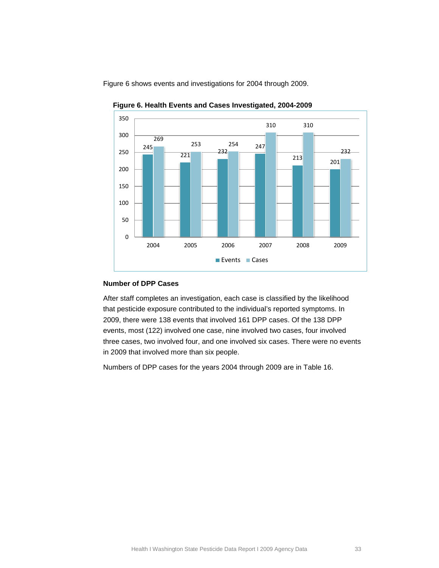<span id="page-30-0"></span>



**Figure 6. Health Events and Cases Investigated, 2004-2009**

## **Number of DPP Cases**

After staff completes an investigation, each case is classified by the likelihood that pesticide exposure contributed to the individual's reported symptoms. In 2009, there were 138 events that involved 161 DPP cases. Of the 138 DPP events, most (122) involved one case, nine involved two cases, four involved three cases, two involved four, and one involved six cases. There were no events in 2009 that involved more than six people.

Numbers of DPP cases for the years 2004 through 2009 are in [Table 16.](#page-31-0)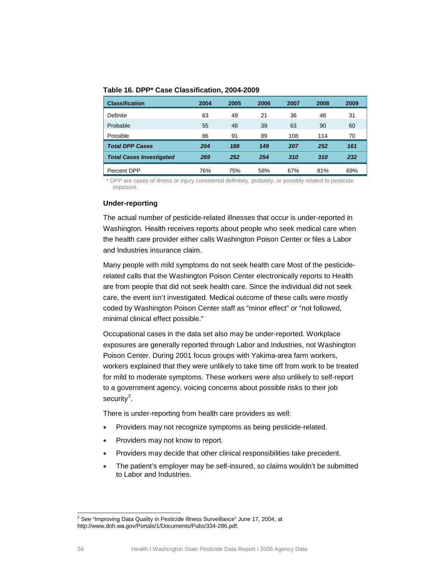<span id="page-31-1"></span><span id="page-31-0"></span>

|  |  | Table 16. DPP* Case Classification, 2004-2009 |  |
|--|--|-----------------------------------------------|--|
|--|--|-----------------------------------------------|--|

| <b>Classification</b>           | 2004 | 2005 | 2006 | 2007 | 2008 | 2009 |
|---------------------------------|------|------|------|------|------|------|
| Definite                        | 63   | 49   | 21   | 36   | 48   | 31   |
| Probable                        | 55   | 48   | 39   | 63   | 90   | 60   |
| Possible                        | 86   | 91   | 89   | 108  | 114  | 70   |
| <b>Total DPP Cases</b>          | 204  | 188  | 149  | 207  | 252  | 161  |
| <b>Total Cases Investigated</b> | 269  | 252  | 254  | 310  | 310  | 232  |
| Percent DPP                     | 76%  | 75%  | 58%  | 67%  | 81%  | 69%  |

\* DPP are cases of illness or injury considered definitely, probably, or possibly related to pesticide exposure.

### **Under-reporting**

The actual number of pesticide-related illnesses that occur is under-reported in Washington. Health receives reports about people who seek medical care when the health care provider either calls Washington Poison Center or files a Labor and Industries insurance claim.

Many people with mild symptoms do not seek health care Most of the pesticiderelated calls that the Washington Poison Center electronically reports to Health are from people that did not seek health care. Since the individual did not seek care, the event isn't investigated. Medical outcome of these calls were mostly coded by Washington Poison Center staff as "minor effect" or "not followed, minimal clinical effect possible."

Occupational cases in the data set also may be under-reported. Workplace exposures are generally reported through Labor and Industries, not Washington Poison Center. During 2001 focus groups with Yakima-area farm workers, workers explained that they were unlikely to take time off from work to be treated for mild to moderate symptoms. These workers were also unlikely to self-report to a government agency, voicing concerns about possible risks to their job security $^2$  $^2$ .

There is under-reporting from health care providers as well:

- Providers may not recognize symptoms as being pesticide-related.
- Providers may not know to report.
- Providers may decide that other clinical responsibilities take precedent.
- The patient's employer may be self-insured, so claims wouldn't be submitted to Labor and Industries.

 $2$  See "Improving Data Quality in Pesticide Illness Surveillance" June 17, 2004, at http://www.doh.wa.gov/Portals/1/Documents/Pubs/334-286.pdf.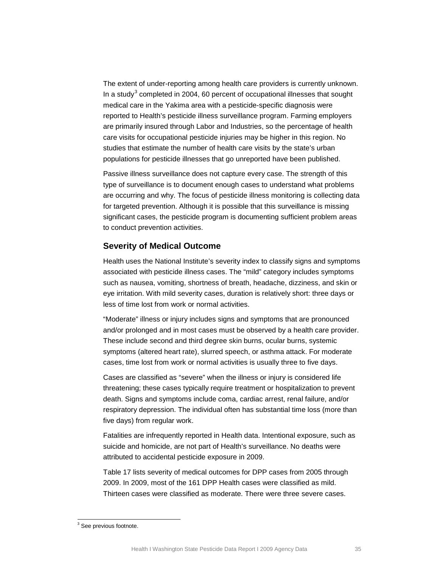The extent of under-reporting among health care providers is currently unknown. In a study<sup>[3](#page-32-1)</sup> completed in 2004, 60 percent of occupational illnesses that sought medical care in the Yakima area with a pesticide-specific diagnosis were reported to Health's pesticide illness surveillance program. Farming employers are primarily insured through Labor and Industries, so the percentage of health care visits for occupational pesticide injuries may be higher in this region. No studies that estimate the number of health care visits by the state's urban populations for pesticide illnesses that go unreported have been published.

Passive illness surveillance does not capture every case. The strength of this type of surveillance is to document enough cases to understand what problems are occurring and why. The focus of pesticide illness monitoring is collecting data for targeted prevention. Although it is possible that this surveillance is missing significant cases, the pesticide program is documenting sufficient problem areas to conduct prevention activities.

## <span id="page-32-0"></span>**Severity of Medical Outcome**

Health uses the National Institute's severity index to classify signs and symptoms associated with pesticide illness cases. The "mild" category includes symptoms such as nausea, vomiting, shortness of breath, headache, dizziness, and skin or eye irritation. With mild severity cases, duration is relatively short: three days or less of time lost from work or normal activities.

"Moderate" illness or injury includes signs and symptoms that are pronounced and/or prolonged and in most cases must be observed by a health care provider. These include second and third degree skin burns, ocular burns, systemic symptoms (altered heart rate), slurred speech, or asthma attack. For moderate cases, time lost from work or normal activities is usually three to five days.

Cases are classified as "severe" when the illness or injury is considered life threatening; these cases typically require treatment or hospitalization to prevent death. Signs and symptoms include coma, cardiac arrest, renal failure, and/or respiratory depression. The individual often has substantial time loss (more than five days) from regular work.

Fatalities are infrequently reported in Health data. Intentional exposure, such as suicide and homicide, are not part of Health's surveillance. No deaths were attributed to accidental pesticide exposure in 2009.

[Table 17](#page-33-0) lists severity of medical outcomes for DPP cases from 2005 through 2009. In 2009, most of the 161 DPP Health cases were classified as mild. Thirteen cases were classified as moderate. There were three severe cases.

<span id="page-32-1"></span> $3$  See previous footnote.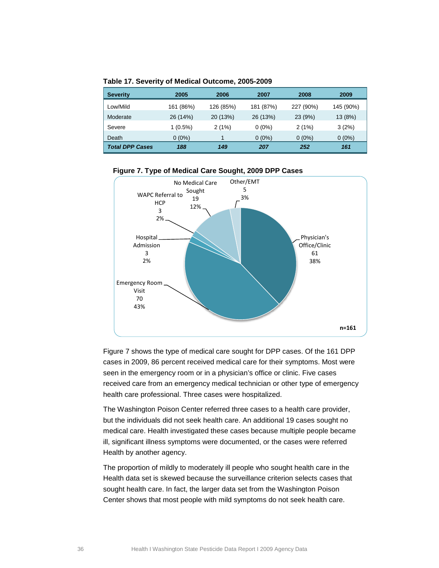<span id="page-33-0"></span>

| <b>Severity</b>        | 2005       | 2006      | 2007      | 2008      | 2009      |
|------------------------|------------|-----------|-----------|-----------|-----------|
| Low/Mild               | 161 (86%)  | 126 (85%) | 181 (87%) | 227 (90%) | 145 (90%) |
| Moderate               | 26 (14%)   | 20 (13%)  | 26 (13%)  | 23(9%)    | 13(8%)    |
| Severe                 | $1(0.5\%)$ | 2(1%)     | $0(0\%)$  | 2(1%)     | 3(2%)     |
| Death                  | $0(0\%)$   |           | $0(0\%)$  | $0(0\%)$  | $0(0\%)$  |
| <b>Total DPP Cases</b> | 188        | 149       | 207       | 252       | 161       |

**Table 17. Severity of Medical Outcome, 2005-2009**

#### <span id="page-33-1"></span>**Figure 7. Type of Medical Care Sought, 2009 DPP Cases**



[Figure 7](#page-33-1) shows the type of medical care sought for DPP cases. Of the 161 DPP cases in 2009, 86 percent received medical care for their symptoms. Most were seen in the emergency room or in a physician's office or clinic. Five cases received care from an emergency medical technician or other type of emergency health care professional. Three cases were hospitalized.

The Washington Poison Center referred three cases to a health care provider, but the individuals did not seek health care. An additional 19 cases sought no medical care. Health investigated these cases because multiple people became ill, significant illness symptoms were documented, or the cases were referred Health by another agency.

The proportion of mildly to moderately ill people who sought health care in the Health data set is skewed because the surveillance criterion selects cases that sought health care. In fact, the larger data set from the Washington Poison Center shows that most people with mild symptoms do not seek health care.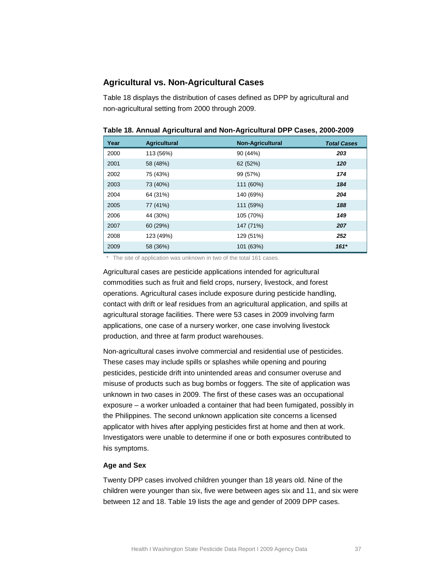## <span id="page-34-0"></span>**Agricultural vs. Non-Agricultural Cases**

[Table 18](#page-34-1) displays the distribution of cases defined as DPP by agricultural and non-agricultural setting from 2000 through 2009.

| Year | <b>Agricultural</b> | <b>Non-Agricultural</b> | <b>Total Cases</b> |
|------|---------------------|-------------------------|--------------------|
| 2000 | 113 (56%)           | 90 (44%)                | 203                |
| 2001 | 58 (48%)            | 62 (52%)                | 120                |
| 2002 | 75 (43%)            | 99 (57%)                | 174                |
| 2003 | 73 (40%)            | 111 (60%)               | 184                |
| 2004 | 64 (31%)            | 140 (69%)               | 204                |
| 2005 | 77 (41%)            | 111 (59%)               | 188                |
| 2006 | 44 (30%)            | 105 (70%)               | 149                |
| 2007 | 60 (29%)            | 147 (71%)               | 207                |
| 2008 | 123 (49%)           | 129 (51%)               | 252                |
| 2009 | 58 (36%)            | 101 (63%)               | $161*$             |

<span id="page-34-1"></span>**Table 18. Annual Agricultural and Non-Agricultural DPP Cases, 2000-2009**

\* The site of application was unknown in two of the total 161 cases.

Agricultural cases are pesticide applications intended for agricultural commodities such as fruit and field crops, nursery, livestock, and forest operations. Agricultural cases include exposure during pesticide handling, contact with drift or leaf residues from an agricultural application, and spills at agricultural storage facilities. There were 53 cases in 2009 involving farm applications, one case of a nursery worker, one case involving livestock production, and three at farm product warehouses.

Non-agricultural cases involve commercial and residential use of pesticides. These cases may include spills or splashes while opening and pouring pesticides, pesticide drift into unintended areas and consumer overuse and misuse of products such as bug bombs or foggers. The site of application was unknown in two cases in 2009. The first of these cases was an occupational exposure – a worker unloaded a container that had been fumigated, possibly in the Philippines. The second unknown application site concerns a licensed applicator with hives after applying pesticides first at home and then at work. Investigators were unable to determine if one or both exposures contributed to his symptoms.

### **Age and Sex**

Twenty DPP cases involved children younger than 18 years old. Nine of the children were younger than six, five were between ages six and 11, and six were between 12 and 18. [Table 19](#page-35-0) lists the age and gender of 2009 DPP cases.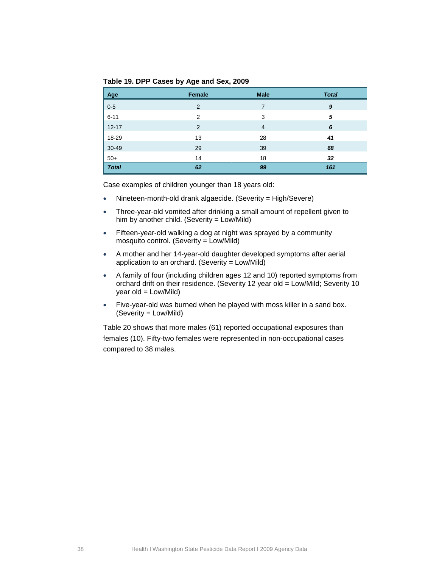<span id="page-35-0"></span>**Table 19. DPP Cases by Age and Sex, 2009**

| Age          | <b>Female</b>  | <b>Male</b>    | <b>Total</b> |
|--------------|----------------|----------------|--------------|
| $0-5$        | $\overline{2}$ | 7              | 9            |
| $6 - 11$     | $\overline{2}$ | 3              | 5            |
| $12 - 17$    | 2              | $\overline{4}$ | 6            |
| 18-29        | 13             | 28             | 41           |
| 30-49        | 29             | 39             | 68           |
| $50+$        | 14             | 18             | 32           |
| <b>Total</b> | 62             | 99             | 161          |

Case examples of children younger than 18 years old:

- Nineteen-month-old drank algaecide. (Severity = High/Severe)
- Three-year-old vomited after drinking a small amount of repellent given to him by another child. (Severity = Low/Mild)
- Fifteen-year-old walking a dog at night was sprayed by a community mosquito control. (Severity = Low/Mild)
- A mother and her 14-year-old daughter developed symptoms after aerial application to an orchard. (Severity = Low/Mild)
- A family of four (including children ages 12 and 10) reported symptoms from orchard drift on their residence. (Severity 12 year old = Low/Mild; Severity 10 year old = Low/Mild)
- Five-year-old was burned when he played with moss killer in a sand box. (Severity = Low/Mild)

[Table 20](#page-36-1) shows that more males (61) reported occupational exposures than females (10). Fifty-two females were represented in non-occupational cases compared to 38 males.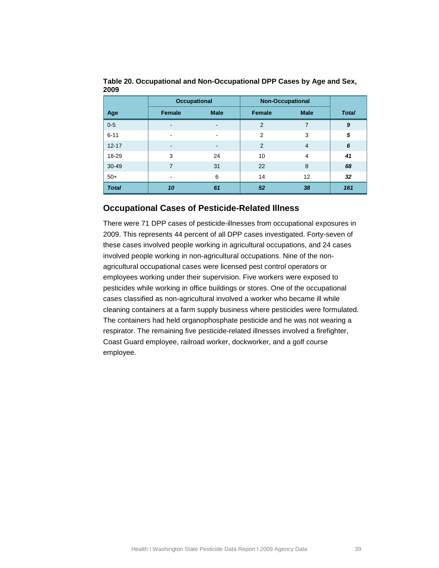|              | <b>Occupational</b>      |                          |                | <b>Non-Occupational</b> |              |  |  |
|--------------|--------------------------|--------------------------|----------------|-------------------------|--------------|--|--|
| Age          | Female                   | <b>Male</b>              | Female         | <b>Male</b>             | <b>Total</b> |  |  |
| $0 - 5$      | -                        | ۰                        | $\overline{2}$ | $\overline{7}$          | 9            |  |  |
| $6 - 11$     | $\overline{\phantom{0}}$ | $\overline{\phantom{a}}$ | $\mathfrak{p}$ | 3                       | 5            |  |  |
| $12 - 17$    | -                        | ۰                        | 2              | $\overline{4}$          | 6            |  |  |
| 18-29        | 3                        | 24                       | 10             | $\overline{4}$          | 41           |  |  |
| $30 - 49$    | 7                        | 31                       | 22             | 8                       | 68           |  |  |
| $50+$        | $\overline{\phantom{0}}$ | 6                        | 14             | 12                      | 32           |  |  |
| <b>Total</b> | 10                       | 61                       | 52             | 38                      | 161          |  |  |

<span id="page-36-1"></span>**Table 20. Occupational and Non-Occupational DPP Cases by Age and Sex, 2009**

## <span id="page-36-0"></span>**Occupational Cases of Pesticide-Related Illness**

There were 71 DPP cases of pesticide-illnesses from occupational exposures in 2009. This represents 44 percent of all DPP cases investigated. Forty-seven of these cases involved people working in agricultural occupations, and 24 cases involved people working in non-agricultural occupations. Nine of the nonagricultural occupational cases were licensed pest control operators or employees working under their supervision. Five workers were exposed to pesticides while working in office buildings or stores. One of the occupational cases classified as non-agricultural involved a worker who became ill while cleaning containers at a farm supply business where pesticides were formulated. The containers had held organophosphate pesticide and he was not wearing a respirator. The remaining five pesticide-related illnesses involved a firefighter, Coast Guard employee, railroad worker, dockworker, and a golf course employee.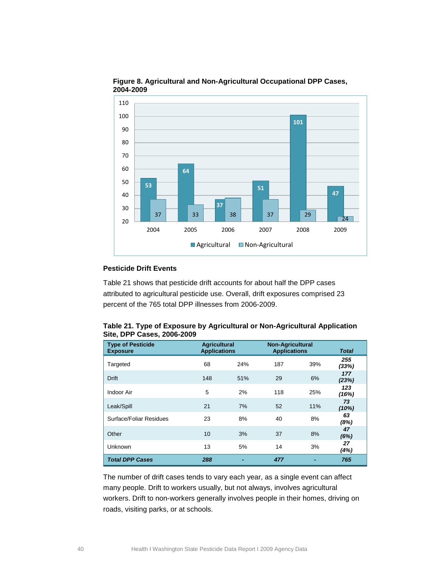

#### <span id="page-37-1"></span>**Figure 8. Agricultural and Non-Agricultural Occupational DPP Cases, 2004-2009**

## **Pesticide Drift Events**

[Table 21](#page-37-0) shows that pesticide drift accounts for about half the DPP cases attributed to agricultural pesticide use. Overall, drift exposures comprised 23 percent of the 765 total DPP illnesses from 2006-2009.

<span id="page-37-0"></span>

|                            | Table 21. Type of Exposure by Agricultural or Non-Agricultural Application |
|----------------------------|----------------------------------------------------------------------------|
| Site, DPP Cases, 2006-2009 |                                                                            |

| <b>Type of Pesticide</b><br><b>Exposure</b> |     | <b>Agricultural</b><br><b>Applications</b> |     | <b>Non-Agricultural</b><br><b>Applications</b> | <b>Total</b> |
|---------------------------------------------|-----|--------------------------------------------|-----|------------------------------------------------|--------------|
| Targeted                                    | 68  | 24%                                        | 187 | 39%                                            | 255<br>(33%) |
| <b>Drift</b>                                | 148 | 51%                                        | 29  | 6%                                             | 177<br>(23%) |
| Indoor Air                                  | 5   | 2%                                         | 118 | 25%                                            | 123<br>(16%) |
| Leak/Spill                                  | 21  | 7%                                         | 52  | 11%                                            | 73<br>(10%)  |
| Surface/Foliar Residues                     | 23  | 8%                                         | 40  | 8%                                             | 63<br>(8%)   |
| Other                                       | 10  | 3%                                         | 37  | 8%                                             | 47<br>(6%)   |
| Unknown                                     | 13  | 5%                                         | 14  | 3%                                             | 27<br>(4%)   |
| <b>Total DPP Cases</b>                      | 288 |                                            | 477 |                                                | 765          |

The number of drift cases tends to vary each year, as a single event can affect many people. Drift to workers usually, but not always, involves agricultural workers. Drift to non-workers generally involves people in their homes, driving on roads, visiting parks, or at schools.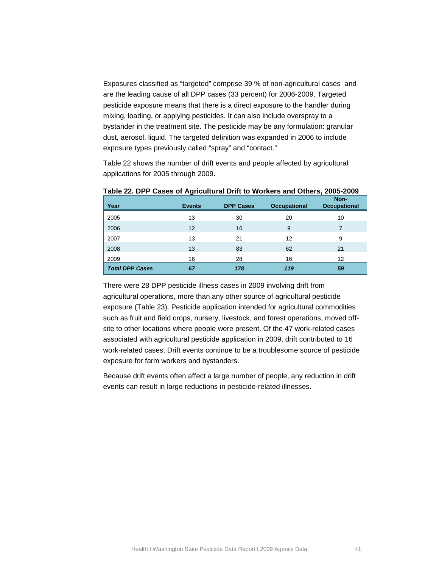Exposures classified as "targeted" comprise 39 % of non-agricultural cases and are the leading cause of all DPP cases (33 percent) for 2006-2009. Targeted pesticide exposure means that there is a direct exposure to the handler during mixing, loading, or applying pesticides. It can also include overspray to a bystander in the treatment site. The pesticide may be any formulation: granular dust, aerosol, liquid. The targeted definition was expanded in 2006 to include exposure types previously called "spray" and "contact."

[Table 22](#page-38-0) shows the number of drift events and people affected by agricultural applications for 2005 through 2009.

| Year                   | <b>Events</b> | <b>DPP Cases</b> | <b>Occupational</b> | Non-<br><b>Occupational</b> |
|------------------------|---------------|------------------|---------------------|-----------------------------|
| 2005                   | 13            | 30               | 20                  | 10                          |
| 2006                   | 12            | 16               | 9                   | 7                           |
| 2007                   | 13            | 21               | 12                  | 9                           |
| 2008                   | 13            | 83               | 62                  | 21                          |
| 2009                   | 16            | 28               | 16                  | 12                          |
| <b>Total DPP Cases</b> | 67            | 178              | 119                 | 59                          |

<span id="page-38-0"></span>**Table 22. DPP Cases of Agricultural Drift to Workers and Others, 2005-2009**

There were 28 DPP pesticide illness cases in 2009 involving drift from agricultural operations, more than any other source of agricultural pesticide exposure [\(Table 23\)](#page-39-0). Pesticide application intended for agricultural commodities such as fruit and field crops, nursery, livestock, and forest operations, moved offsite to other locations where people were present. Of the 47 work-related cases associated with agricultural pesticide application in 2009, drift contributed to 16 work-related cases. Drift events continue to be a troublesome source of pesticide exposure for farm workers and bystanders.

Because drift events often affect a large number of people, any reduction in drift events can result in large reductions in pesticide-related illnesses.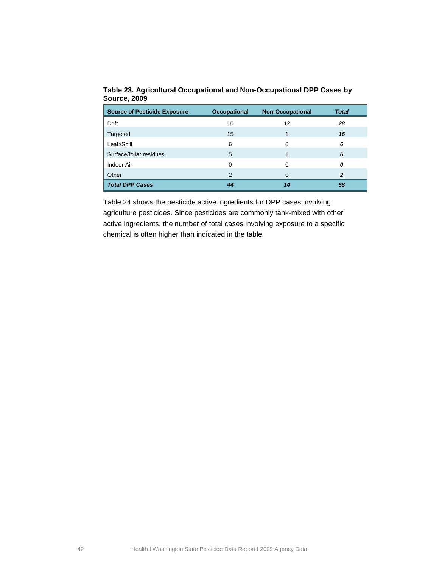| <b>Source of Pesticide Exposure</b> | <b>Occupational</b> | <b>Non-Occupational</b> | <b>Total</b> |
|-------------------------------------|---------------------|-------------------------|--------------|
| <b>Drift</b>                        | 16                  | 12                      | 28           |
| Targeted                            | 15                  |                         | 16           |
| Leak/Spill                          | 6                   | 0                       | 6            |
| Surface/foliar residues             | 5                   |                         | 6            |
| Indoor Air                          | 0                   | 0                       | Ο            |
| Other                               | 2                   | O                       | 2            |
| <b>Total DPP Cases</b>              | 44                  | 14                      | 58           |

<span id="page-39-0"></span>**Table 23. Agricultural Occupational and Non-Occupational DPP Cases by Source, 2009**

[Table 24](#page-40-0) shows the pesticide active ingredients for DPP cases involving agriculture pesticides. Since pesticides are commonly tank-mixed with other active ingredients, the number of total cases involving exposure to a specific chemical is often higher than indicated in the table.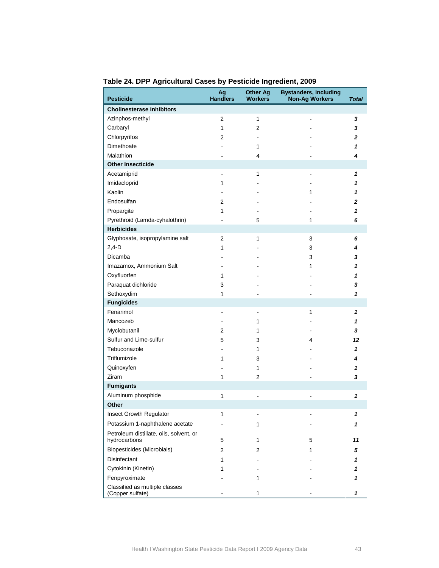| <b>Pesticide</b>                                        | Ag<br><b>Handlers</b> | <b>Other Ag</b><br><b>Workers</b> | <b>Bystanders, Including</b><br><b>Non-Ag Workers</b> | <b>Total</b> |
|---------------------------------------------------------|-----------------------|-----------------------------------|-------------------------------------------------------|--------------|
| <b>Cholinesterase Inhibitors</b>                        |                       |                                   |                                                       |              |
| Azinphos-methyl                                         | 2                     | $\mathbf{1}$                      |                                                       | 3            |
| Carbaryl                                                | $\mathbf{1}$          | 2                                 |                                                       | 3            |
| Chlorpyrifos                                            | 2                     | $\blacksquare$                    |                                                       | 2            |
| Dimethoate                                              |                       | 1                                 |                                                       | 1            |
| Malathion                                               |                       | 4                                 |                                                       | 4            |
| <b>Other Insecticide</b>                                |                       |                                   |                                                       |              |
| Acetamiprid                                             | ٠                     | 1                                 |                                                       | 1            |
| Imidacloprid                                            | $\mathbf{1}$          |                                   |                                                       | 1            |
| Kaolin                                                  |                       |                                   | 1                                                     | 1            |
| Endosulfan                                              | 2                     |                                   |                                                       | 2            |
| Propargite                                              | 1                     |                                   |                                                       | 1            |
| Pyrethroid (Lamda-cyhalothrin)                          |                       | 5                                 | 1                                                     | 6            |
| <b>Herbicides</b>                                       |                       |                                   |                                                       |              |
| Glyphosate, isopropylamine salt                         | $\overline{2}$        | 1                                 | 3                                                     | 6            |
| $2,4-D$                                                 | 1                     |                                   | 3                                                     | 4            |
| Dicamba                                                 |                       |                                   | 3                                                     | 3            |
| Imazamox, Ammonium Salt                                 | ٠                     |                                   | 1                                                     | 1            |
| Oxyfluorfen                                             | 1                     |                                   |                                                       | 1            |
| Paraquat dichloride                                     | 3                     |                                   |                                                       | 3            |
| Sethoxydim                                              | $\mathbf{1}$          |                                   |                                                       | 1            |
| <b>Fungicides</b>                                       |                       |                                   |                                                       |              |
| Fenarimol                                               | -                     | -                                 | 1                                                     | 1            |
| Mancozeb                                                | $\overline{a}$        | 1                                 |                                                       | 1            |
| Myclobutanil                                            | 2                     | 1                                 |                                                       | 3            |
| Sulfur and Lime-sulfur                                  | 5                     | 3                                 | 4                                                     | 12           |
| Tebuconazole                                            |                       | 1                                 |                                                       | 1            |
| Triflumizole                                            | 1                     | 3                                 |                                                       | 4            |
| Quinoxyfen                                              |                       | 1                                 |                                                       | 1            |
| Ziram                                                   | $\mathbf{1}$          | $\overline{2}$                    |                                                       | 3            |
| <b>Fumigants</b>                                        |                       |                                   |                                                       |              |
| Aluminum phosphide                                      | $\mathbf{1}$          | ä,                                |                                                       | 1            |
| Other                                                   |                       |                                   |                                                       |              |
| Insect Growth Regulator                                 | 1                     |                                   |                                                       | 1            |
| Potassium 1-naphthalene acetate                         |                       | 1                                 |                                                       | 1            |
| Petroleum distillate, oils, solvent, or<br>hydrocarbons | 5                     | 1                                 | 5                                                     | 11           |
| Biopesticides (Microbials)                              | 2                     | 2                                 | 1                                                     | 5            |
| <b>Disinfectant</b>                                     | 1                     |                                   |                                                       | 1            |
| Cytokinin (Kinetin)                                     | 1                     |                                   |                                                       |              |
| Fenpyroximate                                           |                       | 1                                 |                                                       | 1            |
| Classified as multiple classes<br>(Copper sulfate)      |                       | 1                                 |                                                       | 1            |

<span id="page-40-0"></span>**Table 24. DPP Agricultural Cases by Pesticide Ingredient, 2009**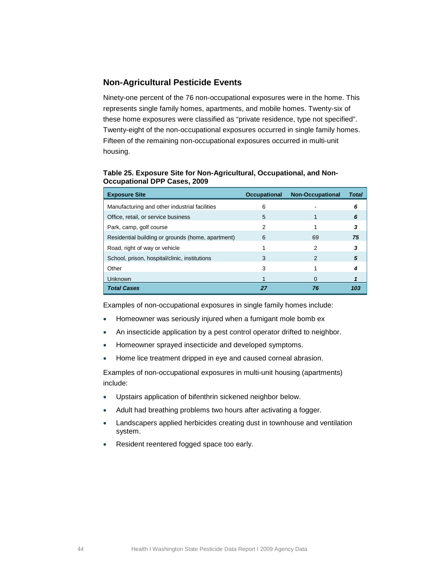## <span id="page-41-0"></span>**Non-Agricultural Pesticide Events**

<span id="page-41-1"></span>Ninety-one percent of the 76 non-occupational exposures were in the home. This represents single family homes, apartments, and mobile homes. Twenty-six of these home exposures were classified as "private residence, type not specified". Twenty-eight of the non-occupational exposures occurred in single family homes. Fifteen of the remaining non-occupational exposures occurred in multi-unit housing.

**Table 25. Exposure Site for Non-Agricultural, Occupational, and Non-Occupational DPP Cases, 2009**

| <b>Exposure Site</b>                              | <b>Occupational</b> | <b>Non-Occupational</b> | <b>Total</b> |
|---------------------------------------------------|---------------------|-------------------------|--------------|
| Manufacturing and other industrial facilities     | 6                   |                         | 6            |
| Office, retail, or service business               | 5                   |                         | 6            |
| Park, camp, golf course                           | 2                   |                         | 3            |
| Residential building or grounds (home, apartment) | 6                   | 69                      | 75           |
| Road, right of way or vehicle                     |                     | 2                       | 3            |
| School, prison, hospital/clinic, institutions     | 3                   | 2                       | 5            |
| Other                                             | 3                   |                         |              |
| Unknown                                           |                     | O                       |              |
| <b>Total Cases</b>                                | 27                  | 76                      | 103          |

Examples of non-occupational exposures in single family homes include:

- Homeowner was seriously injured when a fumigant mole bomb ex
- An insecticide application by a pest control operator drifted to neighbor.
- Homeowner sprayed insecticide and developed symptoms.
- Home lice treatment dripped in eye and caused corneal abrasion.

Examples of non-occupational exposures in multi-unit housing (apartments) include:

- Upstairs application of bifenthrin sickened neighbor below.
- Adult had breathing problems two hours after activating a fogger.
- Landscapers applied herbicides creating dust in townhouse and ventilation system.
- Resident reentered fogged space too early.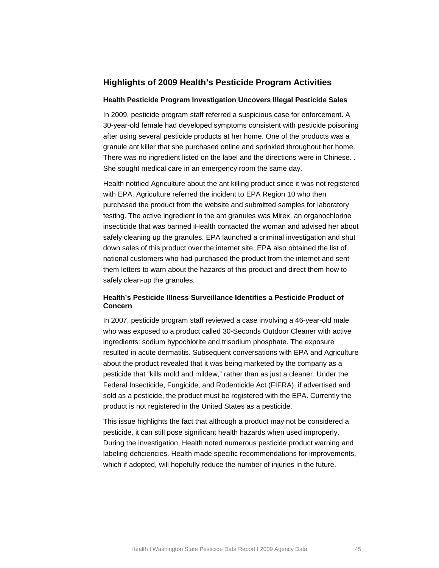## <span id="page-42-0"></span>**Highlights of 2009 Health's Pesticide Program Activities**

#### **Health Pesticide Program Investigation Uncovers Illegal Pesticide Sales**

In 2009, pesticide program staff referred a suspicious case for enforcement. A 30-year-old female had developed symptoms consistent with pesticide poisoning after using several pesticide products at her home. One of the products was a granule ant killer that she purchased online and sprinkled throughout her home. There was no ingredient listed on the label and the directions were in Chinese. . She sought medical care in an emergency room the same day.

Health notified Agriculture about the ant killing product since it was not registered with EPA. Agriculture referred the incident to EPA Region 10 who then purchased the product from the website and submitted samples for laboratory testing. The active ingredient in the ant granules was Mirex, an organochlorine insecticide that was banned iHealth contacted the woman and advised her about safely cleaning up the granules. EPA launched a criminal investigation and shut down sales of this product over the internet site. EPA also obtained the list of national customers who had purchased the product from the internet and sent them letters to warn about the hazards of this product and direct them how to safely clean-up the granules.

### **Health's Pesticide Illness Surveillance Identifies a Pesticide Product of Concern**

In 2007, pesticide program staff reviewed a case involving a 46-year-old male who was exposed to a product called 30-Seconds Outdoor Cleaner with active ingredients: sodium hypochlorite and trisodium phosphate. The exposure resulted in acute dermatitis. Subsequent conversations with EPA and Agriculture about the product revealed that it was being marketed by the company as a pesticide that "kills mold and mildew," rather than as just a cleaner. Under the Federal Insecticide, Fungicide, and Rodenticide Act (FIFRA), if advertised and sold as a pesticide, the product must be registered with the EPA. Currently the product is not registered in the United States as a pesticide.

This issue highlights the fact that although a product may not be considered a pesticide, it can still pose significant health hazards when used improperly. During the investigation, Health noted numerous pesticide product warning and labeling deficiencies. Health made specific recommendations for improvements, which if adopted, will hopefully reduce the number of injuries in the future.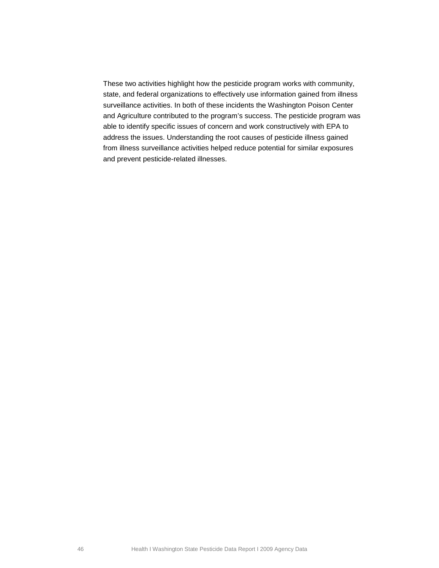These two activities highlight how the pesticide program works with community, state, and federal organizations to effectively use information gained from illness surveillance activities. In both of these incidents the Washington Poison Center and Agriculture contributed to the program's success. The pesticide program was able to identify specific issues of concern and work constructively with EPA to address the issues. Understanding the root causes of pesticide illness gained from illness surveillance activities helped reduce potential for similar exposures and prevent pesticide-related illnesses.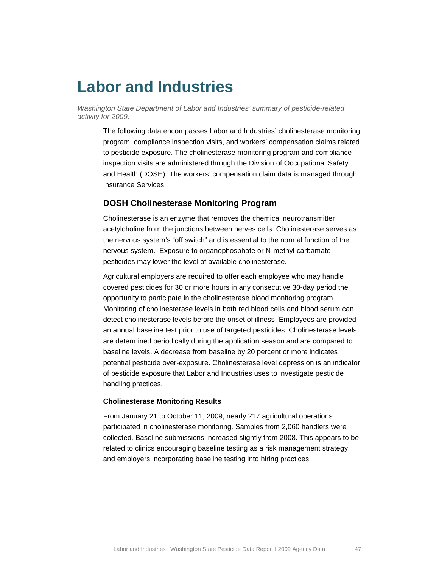# <span id="page-44-0"></span>**Labor and Industries**

*Washington State Department of Labor and Industries' summary of pesticide-related activity for 2009.*

The following data encompasses Labor and Industries' cholinesterase monitoring program, compliance inspection visits, and workers' compensation claims related to pesticide exposure. The cholinesterase monitoring program and compliance inspection visits are administered through the Division of Occupational Safety and Health (DOSH). The workers' compensation claim data is managed through Insurance Services.

## <span id="page-44-1"></span>**DOSH Cholinesterase Monitoring Program**

Cholinesterase is an enzyme that removes the chemical neurotransmitter acetylcholine from the junctions between nerves cells. Cholinesterase serves as the nervous system's "off switch" and is essential to the normal function of the nervous system. Exposure to organophosphate or N-methyl-carbamate pesticides may lower the level of available cholinesterase.

Agricultural employers are required to offer each employee who may handle covered pesticides for 30 or more hours in any consecutive 30-day period the opportunity to participate in the cholinesterase blood monitoring program. Monitoring of cholinesterase levels in both red blood cells and blood serum can detect cholinesterase levels before the onset of illness. Employees are provided an annual baseline test prior to use of targeted pesticides. Cholinesterase levels are determined periodically during the application season and are compared to baseline levels. A decrease from baseline by 20 percent or more indicates potential pesticide over-exposure. Cholinesterase level depression is an indicator of pesticide exposure that Labor and Industries uses to investigate pesticide handling practices.

#### **Cholinesterase Monitoring Results**

From January 21 to October 11, 2009, nearly 217 agricultural operations participated in cholinesterase monitoring. Samples from 2,060 handlers were collected. Baseline submissions increased slightly from 2008. This appears to be related to clinics encouraging baseline testing as a risk management strategy and employers incorporating baseline testing into hiring practices.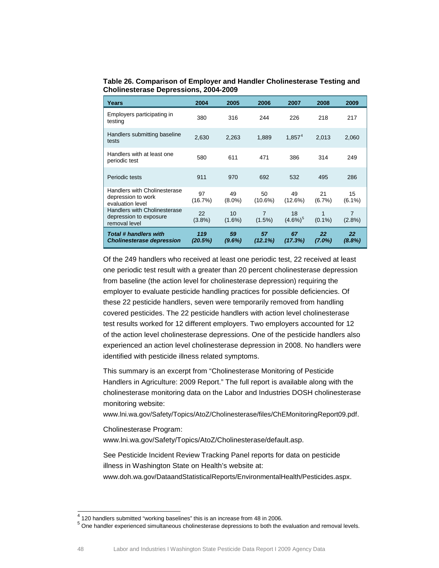<span id="page-45-0"></span>**Table 26. Comparison of Employer and Handler Cholinesterase Testing and Cholinesterase Depressions, 2004-2009**

| Years                                                                   | 2004           | 2005            | 2006                        | 2007              | 2008            | 2009                        |
|-------------------------------------------------------------------------|----------------|-----------------|-----------------------------|-------------------|-----------------|-----------------------------|
| Employers participating in<br>testing                                   | 380            | 316             | 244                         | 226               | 218             | 217                         |
| Handlers submitting baseline<br>tests                                   | 2.630          | 2,263           | 1,889                       | $1.857^{4}$       | 2.013           | 2,060                       |
| Handlers with at least one<br>periodic test                             | 580            | 611             | 471                         | 386               | 314             | 249                         |
| Periodic tests                                                          | 911            | 970             | 692                         | 532               | 495             | 286                         |
| Handlers with Cholinesterase<br>depression to work<br>evaluation level  | 97<br>(16.7%)  | 49<br>$(8.0\%)$ | 50<br>$(10.6\%)$            | 49<br>(12.6%)     | 21<br>$(6.7\%)$ | 15<br>$(6.1\%)$             |
| Handlers with Cholinesterase<br>depression to exposure<br>removal level | 22<br>(3.8%)   | 10<br>$(1.6\%)$ | $\overline{7}$<br>$(1.5\%)$ | 18<br>$(4.6\%)^5$ | 1<br>$(0.1\%)$  | $\overline{7}$<br>$(2.8\%)$ |
| <b>Total # handlers with</b><br><b>Cholinesterase depression</b>        | 119<br>(20.5%) | 59<br>$(9.6\%)$ | 57<br>$(12.1\%)$            | 67<br>(17.3%)     | 22<br>$(7.0\%)$ | 22<br>$(8.8\%)$             |

Of the 249 handlers who received at least one periodic test, 22 received at least one periodic test result with a greater than 20 percent cholinesterase depression from baseline (the action level for cholinesterase depression) requiring the employer to evaluate pesticide handling practices for possible deficiencies. Of these 22 pesticide handlers, seven were temporarily removed from handling covered pesticides. The 22 pesticide handlers with action level cholinesterase test results worked for 12 different employers. Two employers accounted for 12 of the action level cholinesterase depressions. One of the pesticide handlers also experienced an action level cholinesterase depression in 2008. No handlers were identified with pesticide illness related symptoms.

This summary is an excerpt from "Cholinesterase Monitoring of Pesticide Handlers in Agriculture: 2009 Report." The full report is available along with the cholinesterase monitoring data on the Labor and Industries DOSH cholinesterase monitoring website:

[www.lni.wa.gov/Safety/Topics/AtoZ/Cholinesterase/files/ChEMonitoringReport09.pdf.](http://www.lni.wa.gov/Safety/Topics/AtoZ/Cholinesterase/files/ChEMonitoringReport09.pdf)

Cholinesterase Program:

[www.lni.wa.gov/Safety/Topics/AtoZ/Cholinesterase/default.asp.](http://www.lni.wa.gov/Safety/Topics/AtoZ/Cholinesterase/default.asp)

See Pesticide Incident Review Tracking Panel reports for data on pesticide illness in Washington State on Health's website at:

[www.doh.wa.gov/DataandStatisticalReports/EnvironmentalHealth/Pesticides.aspx.](http://www.doh.wa.gov/DataandStatisticalReports/EnvironmentalHealth/Pesticides.aspx)

<span id="page-45-2"></span><span id="page-45-1"></span>

 $^4$  120 handlers submitted "working baselines" this is an increase from 48 in 2006.<br> $^5$  One handler experienced simultaneous cholinesterase depressions to both the evaluation and removal levels.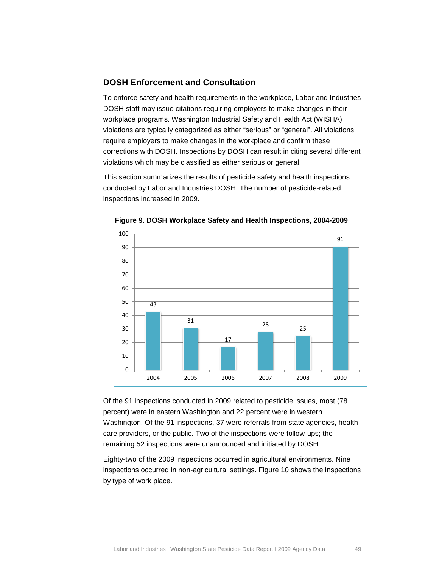## <span id="page-46-0"></span>**DOSH Enforcement and Consultation**

To enforce safety and health requirements in the workplace, Labor and Industries DOSH staff may issue citations requiring employers to make changes in their workplace programs. Washington Industrial Safety and Health Act (WISHA) violations are typically categorized as either "serious" or "general". All violations require employers to make changes in the workplace and confirm these corrections with DOSH. Inspections by DOSH can result in citing several different violations which may be classified as either serious or general.

This section summarizes the results of pesticide safety and health inspections conducted by Labor and Industries DOSH. The number of pesticide-related inspections increased in 2009.



<span id="page-46-1"></span>**Figure 9. DOSH Workplace Safety and Health Inspections, 2004-2009**

Of the 91 inspections conducted in 2009 related to pesticide issues, most (78 percent) were in eastern Washington and 22 percent were in western Washington. Of the 91 inspections, 37 were referrals from state agencies, health care providers, or the public. Two of the inspections were follow-ups; the remaining 52 inspections were unannounced and initiated by DOSH.

Eighty-two of the 2009 inspections occurred in agricultural environments. Nine inspections occurred in non-agricultural settings. [Figure 10](#page-47-0) shows the inspections by type of work place.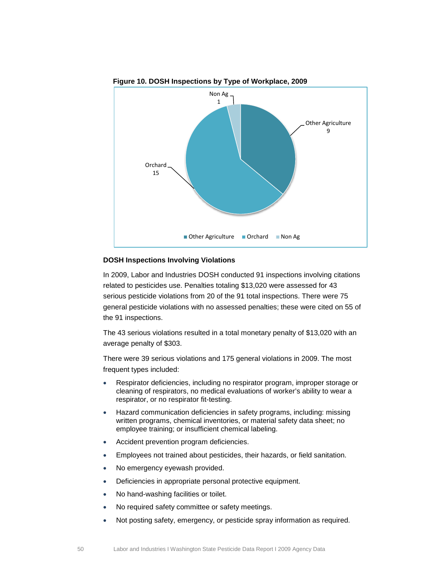<span id="page-47-0"></span>

**Figure 10. DOSH Inspections by Type of Workplace, 2009**

#### **DOSH Inspections Involving Violations**

In 2009, Labor and Industries DOSH conducted 91 inspections involving citations related to pesticides use. Penalties totaling \$13,020 were assessed for 43 serious pesticide violations from 20 of the 91 total inspections. There were 75 general pesticide violations with no assessed penalties; these were cited on 55 of the 91 inspections.

The 43 serious violations resulted in a total monetary penalty of \$13,020 with an average penalty of \$303.

There were 39 serious violations and 175 general violations in 2009. The most frequent types included:

- Respirator deficiencies, including no respirator program, improper storage or cleaning of respirators, no medical evaluations of worker's ability to wear a respirator, or no respirator fit-testing.
- Hazard communication deficiencies in safety programs, including: missing written programs, chemical inventories, or material safety data sheet; no employee training; or insufficient chemical labeling.
- Accident prevention program deficiencies.
- Employees not trained about pesticides, their hazards, or field sanitation.
- No emergency eyewash provided.
- Deficiencies in appropriate personal protective equipment.
- No hand-washing facilities or toilet.
- No required safety committee or safety meetings.
- Not posting safety, emergency, or pesticide spray information as required.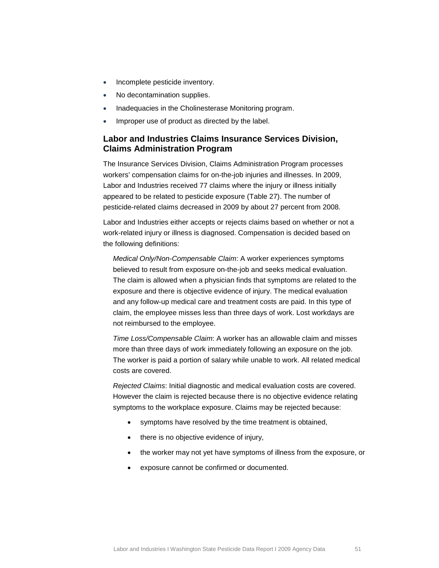- Incomplete pesticide inventory.
- No decontamination supplies.
- Inadequacies in the Cholinesterase Monitoring program.
- Improper use of product as directed by the label.

## <span id="page-48-0"></span>**Labor and Industries Claims Insurance Services Division, Claims Administration Program**

The Insurance Services Division, Claims Administration Program processes workers' compensation claims for on-the-job injuries and illnesses. In 2009, Labor and Industries received 77 claims where the injury or illness initially appeared to be related to pesticide exposure [\(Table 27\)](#page-49-0). The number of pesticide-related claims decreased in 2009 by about 27 percent from 2008.

Labor and Industries either accepts or rejects claims based on whether or not a work-related injury or illness is diagnosed. Compensation is decided based on the following definitions:

*Medical Only/Non-Compensable Claim*: A worker experiences symptoms believed to result from exposure on-the-job and seeks medical evaluation. The claim is allowed when a physician finds that symptoms are related to the exposure and there is objective evidence of injury. The medical evaluation and any follow-up medical care and treatment costs are paid. In this type of claim, the employee misses less than three days of work. Lost workdays are not reimbursed to the employee.

*Time Loss/Compensable Claim*: A worker has an allowable claim and misses more than three days of work immediately following an exposure on the job. The worker is paid a portion of salary while unable to work. All related medical costs are covered.

*Rejected Claims*: Initial diagnostic and medical evaluation costs are covered. However the claim is rejected because there is no objective evidence relating symptoms to the workplace exposure. Claims may be rejected because:

- symptoms have resolved by the time treatment is obtained,
- there is no objective evidence of injury,
- the worker may not yet have symptoms of illness from the exposure, or
- exposure cannot be confirmed or documented.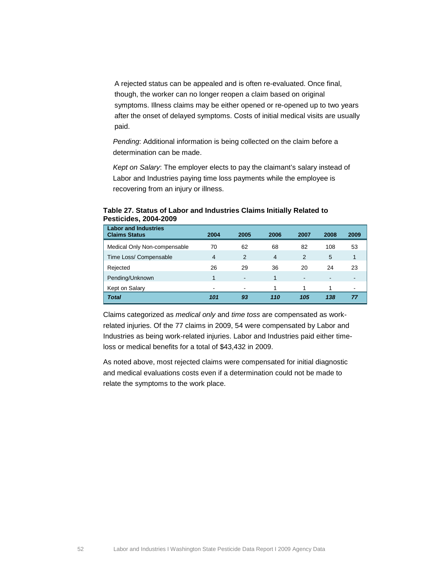A rejected status can be appealed and is often re-evaluated. Once final, though, the worker can no longer reopen a claim based on original symptoms. Illness claims may be either opened or re-opened up to two years after the onset of delayed symptoms. Costs of initial medical visits are usually paid.

*Pending*: Additional information is being collected on the claim before a determination can be made.

*Kept on Salary*: The employer elects to pay the claimant's salary instead of Labor and Industries paying time loss payments while the employee is recovering from an injury or illness.

| <b>Labor and Industries</b><br><b>Claims Status</b> | 2004 | 2005 | 2006 | 2007                     | 2008 | 2009         |
|-----------------------------------------------------|------|------|------|--------------------------|------|--------------|
| Medical Only Non-compensable                        | 70   | 62   | 68   | 82                       | 108  | 53           |
| Time Loss/ Compensable                              | 4    | 2    | 4    | 2                        | 5    | $\mathbf{1}$ |
| Rejected                                            | 26   | 29   | 36   | 20                       | 24   | 23           |
| Pending/Unknown                                     |      |      | 1    | $\overline{\phantom{0}}$ |      | -            |
| Kept on Salary                                      | $\,$ | $\,$ | 1    | 1                        |      | ۰            |
| <b>Total</b>                                        | 101  | 93   | 110  | 105                      | 138  |              |

### <span id="page-49-0"></span>**Table 27. Status of Labor and Industries Claims Initially Related to Pesticides, 2004-2009**

Claims categorized as *medical only* and *time toss* are compensated as workrelated injuries. Of the 77 claims in 2009, 54 were compensated by Labor and Industries as being work-related injuries. Labor and Industries paid either timeloss or medical benefits for a total of \$43,432 in 2009.

As noted above, most rejected claims were compensated for initial diagnostic and medical evaluations costs even if a determination could not be made to relate the symptoms to the work place.